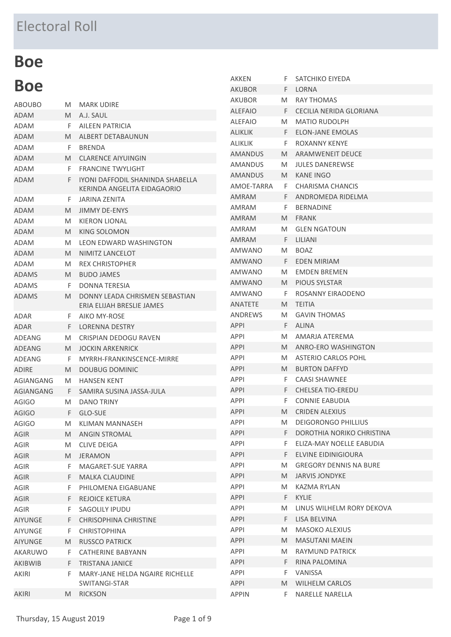## Electoral Roll

|                |    |                                  | AKKEN          | F  | SATCHIKO EIYEDA               |
|----------------|----|----------------------------------|----------------|----|-------------------------------|
| <b>Boe</b>     |    |                                  | AKUBOR         | F. | LORNA                         |
| ABOUBO         | M  | <b>MARK UDIRE</b>                | AKUBOR         | M  | RAY THOMAS                    |
| ADAM           | M  | A.J. SAUL                        | <b>ALEFAIO</b> | F. | CECILIA NERIDA GLORIANA       |
| ADAM           | F  | AILEEN PATRICIA                  | <b>ALEFAIO</b> | M  | <b>MATIO RUDOLPH</b>          |
| ADAM           | M  | ALBERT DETABAUNUN                | ALIKLIK        | F. | ELON-JANE EMOLAS              |
| ADAM           | F  | <b>BRENDA</b>                    | <b>ALIKLIK</b> | F  | <b>ROXANNY KENYE</b>          |
| ADAM           | M  | <b>CLARENCE AIYUINGIN</b>        | <b>AMANDUS</b> | M. | ARAMWENEIT DEUCE              |
| ADAM           | F  | <b>FRANCINE TWYLIGHT</b>         | <b>AMANDUS</b> | M  | <b>JULES DANEREWSE</b>        |
| ADAM           | F. | IYONI DAFFODIL SHANINDA SHABELLA | AMANDUS        | M  | <b>KANE INGO</b>              |
|                |    | KERINDA ANGELITA EIDAGAORIO      | AMOE-TARRA     | F. | <b>CHARISMA CHANCIS</b>       |
| ADAM           | F. | JARINA ZENITA                    | AMRAM          | F. | ANDROMEDA RIDELMA             |
| ADAM           | M  | JIMMY DE-ENYS                    | AMRAM          | F  | <b>BERNADINE</b>              |
| ADAM           | M  | <b>KIERON LIONAL</b>             | AMRAM          | M. | FRANK                         |
| ADAM           | M  | <b>KING SOLOMON</b>              | AMRAM          | M  | <b>GLEN NGATOUN</b>           |
| ADAM           | M  | LEON EDWARD WASHINGTON           | AMRAM          | F. | LILIANI                       |
| ADAM           | M  | NIMITZ LANCELOT                  | AMWANO         | M  | <b>BOAZ</b>                   |
| ADAM           | M  | <b>REX CHRISTOPHER</b>           | AMWANO         | F. | <b>EDEN MIRIAM</b>            |
| <b>ADAMS</b>   | M  | <b>BUDO JAMES</b>                | AMWANO         | M  | <b>EMDEN BREMEN</b>           |
| ADAMS          | F  | <b>DONNA TERESIA</b>             | AMWANO         | M  | <b>PIOUS SYLSTAR</b>          |
| ADAMS          | M  | DONNY LEADA CHRISMEN SEBASTIAN   | AMWANO         | F  | ROSANNY EIRAODENO             |
|                |    | ERIA ELIJAH BRESLIE JAMES        | ANATETE        | M  | TEITIA                        |
| ADAR           | F. | AIKO MY-ROSE                     | ANDREWS        | M  | <b>GAVIN THOMAS</b>           |
| ADAR           | F. | <b>LORENNA DESTRY</b>            | <b>APPI</b>    | F. | <b>ALINA</b>                  |
| ADEANG         | M  | CRISPIAN DEDOGU RAVEN            | APPI           | M. | AMARJA ATEREMA                |
| ADEANG         | M  | <b>JOCKIN ARKENRICK</b>          | <b>APPI</b>    | M. | ANRO-ERO WASHINGTON           |
| ADEANG         | F  | MYRRH-FRANKINSCENCE-MIRRE        | APPI           | M  | <b>ASTERIO CARLOS POHL</b>    |
| <b>ADIRE</b>   | M  | DOUBUG DOMINIC                   | <b>APPI</b>    | M  | <b>BURTON DAFFYD</b>          |
| AGIANGANG      | M  | <b>HANSEN KENT</b>               | APPI           | F. | <b>CAASI SHAWNEE</b>          |
| AGIANGANG      | F. | SAMIRA SUSINA JASSA-JULA         | APPI           | F. | <b>CHELSEA TIO-EREDU</b>      |
| <b>AGIGO</b>   | M  | <b>DANO TRINY</b>                | <b>APPI</b>    | F. | <b>CONNIE EABUDIA</b>         |
| <b>AGIGO</b>   |    | F GLO-SUE                        | APPI           |    | M CRIDEN ALEXIUS              |
| <b>AGIGO</b>   | M  | KLIMAN MANNASEH                  | APPI           |    | M DEIGORONGO PHILLIUS         |
| AGIR           | M. | ANGIN STROMAL                    | APPI           | F. | DOROTHIA NORIKO CHRISTINA     |
| AGIR           | M  | <b>CLIVE DEIGA</b>               | APPI           | F. | ELIZA-MAY NOELLE EABUDIA      |
| AGIR           |    | M JERAMON                        | APPI           | F. | ELVINE EIDINIGIOURA           |
| AGIR           | F. | MAGARET-SUE YARRA                | APPI           | M  | <b>GREGORY DENNIS NA BURE</b> |
| AGIR           | F. | MALKA CLAUDINE                   | APPI           |    | M JARVIS JONDYKE              |
| AGIR           | F. | PHILOMENA EIGABUANE              | APPI           |    | M KAZMA RYLAN                 |
| AGIR           | F. | <b>REJOICE KETURA</b>            | APPI           | F. | KYLIE                         |
| AGIR           | F. | SAGOLILY IPUDU                   | APPI           | M. | LINUS WILHELM RORY DEKOVA     |
| <b>AIYUNGE</b> | F. | CHRISOPHINA CHRISTINE            | APPI           | F. | LISA BELVINA                  |
| AIYUNGE        | F. | <b>CHRISTOPHINA</b>              | APPI           | M  | <b>MASOKO ALEXIUS</b>         |
| <b>AIYUNGE</b> | M. | <b>RUSSCO PATRICK</b>            | <b>APPI</b>    | M. | <b>MASUTANI MAEIN</b>         |
| AKARUWO        | F. | <b>CATHERINE BABYANN</b>         | APPI           | M  | <b>RAYMUND PATRICK</b>        |
| AKIBWIB        |    | F TRISTANA JANICE                | APPI           | F. | RINA PALOMINA                 |
| AKIRI          | F. | MARY-JANE HELDA NGAIRE RICHELLE  | APPI           | F. | VANISSA                       |
|                |    | SWITANGI-STAR                    | APPI           | M. | <b>WILHELM CARLOS</b>         |
| <b>AKIRI</b>   |    | M RICKSON                        | <b>APPIN</b>   | F. | NARELLE NARELLA               |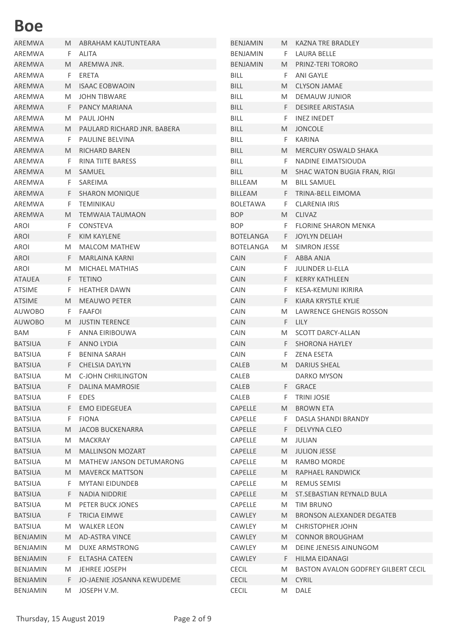| AREMWA          |    | M ABRAHAM KAUTUNTEARA                                       | <b>BENJAMIN</b>  | M  | <b>KAZNA TRE BRADLEY</b>                   |
|-----------------|----|-------------------------------------------------------------|------------------|----|--------------------------------------------|
| AREMWA          | F. | <b>ALITA</b><br><b>LAURA BELLE</b><br><b>BENJAMIN</b><br>F. |                  |    |                                            |
| AREMWA          |    | M AREMWA JNR.                                               | <b>BENJAMIN</b>  |    | M PRINZ-TERI TORORO                        |
| AREMWA          | F. | ERETA                                                       | <b>BILL</b>      | F  | ANI GAYLE                                  |
| AREMWA          | M. | <b>ISAAC EOBWAOIN</b>                                       | <b>BILL</b>      | M  | <b>CLYSON JAMAE</b>                        |
| AREMWA          | M  | JOHN TIBWARE                                                | <b>BILL</b>      | M  | DEMAUW JUNIOR                              |
| AREMWA          |    | F PANCY MARIANA                                             | <b>BILL</b>      |    | F DESIREE ARISTASIA                        |
| AREMWA          | M  | PAUL JOHN                                                   | <b>BILL</b>      |    | F INEZ INEDET                              |
| AREMWA          | M. | PAULARD RICHARD JNR. BABERA                                 | <b>BILL</b>      | M  | JONCOLE                                    |
| AREMWA          | F. | <b>PAULINE BELVINA</b>                                      | <b>BILL</b>      | F. | KARINA                                     |
| AREMWA          | M. | <b>RICHARD BAREN</b>                                        | <b>BILL</b>      | M. | <b>MERCURY OSWALD SHAKA</b>                |
| AREMWA          | F. | RINA TIITE BARESS                                           | <b>BILL</b>      |    | F NADINE EIMATSIOUDA                       |
| AREMWA          | M. | SAMUEL                                                      | <b>BILL</b>      |    | M SHAC WATON BUGIA FRAN, RIGI              |
| AREMWA          | F. | SAREIMA                                                     | BILLEAM          |    | M BILL SAMUEL                              |
| AREMWA          |    | <b>F</b> SHARON MONIQUE                                     | <b>BILLEAM</b>   |    | F TRINA-BELL EIMOMA                        |
| AREMWA          | F. | TEMINIKAU                                                   | <b>BOLETAWA</b>  | F. | <b>CLARENIA IRIS</b>                       |
| AREMWA          | M. | <b>TEMWAIA TAUMAON</b>                                      | <b>BOP</b>       |    | M CLIVAZ                                   |
| AROI            |    | F CONSTEVA                                                  | <b>BOP</b>       |    | F FLORINE SHARON MENKA                     |
| <b>AROI</b>     |    | F KIM KAYLENE                                               | <b>BOTELANGA</b> |    | F JOYLYN DELIAH                            |
| <b>AROI</b>     | M  | <b>MALCOM MATHEW</b>                                        | <b>BOTELANGA</b> | M  | SIMRON JESSE                               |
| <b>AROI</b>     | F. | <b>MARLAINA KARNI</b>                                       | <b>CAIN</b>      | F. | ABBA ANJA                                  |
| AROI            | M  | MICHAEL MATHIAS                                             | <b>CAIN</b>      | F. | JULINDER LI-ELLA                           |
| ATAUEA          |    | F TETINO                                                    | <b>CAIN</b>      |    | F KERRY KATHLEEN                           |
| ATSIME          | F. | <b>HEATHER DAWN</b>                                         | <b>CAIN</b>      | F. | KESA-KEMUNI IKIRIRA                        |
| ATSIME          |    | M MEAUWO PETER                                              | <b>CAIN</b>      |    | F KIARA KRYSTLE KYLIE                      |
| <b>AUWOBO</b>   | F. | FAAFOI                                                      | <b>CAIN</b>      | M  | LAWRENCE GHENGIS ROSSON                    |
| <b>AUWOBO</b>   |    | M JUSTIN TERENCE                                            | <b>CAIN</b>      | F. | LILY                                       |
| BAM             | F. | ANNA EIRIBOUWA                                              | <b>CAIN</b>      | M  | <b>SCOTT DARCY-ALLAN</b>                   |
| <b>BATSIUA</b>  |    | F ANNO LYDIA                                                | <b>CAIN</b>      |    | F SHORONA HAYLEY                           |
| <b>BATSIUA</b>  | F. | <b>BENINA SARAH</b>                                         | <b>CAIN</b>      | F. | <b>ZENA ESETA</b>                          |
| <b>BATSIUA</b>  |    | F CHELSIA DAYLYN                                            | CALEB            | M  | <b>DARIUS SHEAL</b>                        |
| <b>BATSIUA</b>  |    | M C-JOHN CHRILINGTON                                        | CALEB            |    | DARKO MYSON                                |
| <b>BATSIUA</b>  |    | F DALINA MAMROSIE                                           | <b>CALEB</b>     |    | F GRACE                                    |
| <b>BATSIUA</b>  |    | F EDES                                                      | CALEB            | F. | <b>TRINI JOSIE</b>                         |
| <b>BATSIUA</b>  | F. | <b>EMO EIDEGEUEA</b>                                        | CAPELLE          | M  | <b>BROWN ETA</b>                           |
| <b>BATSIUA</b>  | F. | <b>FIONA</b>                                                | CAPELLE          | F. | DASLA SHANDI BRANDY                        |
| <b>BATSIUA</b>  | M. | <b>JACOB BUCKENARRA</b>                                     | CAPELLE          | F. | DELVYNA CLEO                               |
| <b>BATSIUA</b>  | M  | MACKRAY                                                     | CAPELLE          | M  | JULIAN                                     |
| <b>BATSIUA</b>  | M  | <b>MALLINSON MOZART</b>                                     | CAPELLE          | M  | <b>JULION JESSE</b>                        |
| <b>BATSIUA</b>  | M  | MATHEW JANSON DETUMARONG                                    | CAPELLE          | M  | RAMBO MORDE                                |
| <b>BATSIUA</b>  | M  | <b>MAVERCK MATTSON</b>                                      | CAPELLE          | M  | RAPHAEL RANDWICK                           |
| <b>BATSIUA</b>  | F. | <b>MYTANI EIDUNDEB</b>                                      | CAPELLE          | M  | REMUS SEMISI                               |
| <b>BATSIUA</b>  | F. | NADIA NIDDRIE                                               | CAPELLE          | M  | ST.SEBASTIAN REYNALD BULA                  |
| <b>BATSIUA</b>  | M  | PETER BUCK JONES                                            | CAPELLE          | M  | TIM BRUNO                                  |
| <b>BATSIUA</b>  | F. | <b>TRICIA EIMWE</b>                                         | <b>CAWLEY</b>    | M  | <b>BRONSON ALEXANDER DEGATEB</b>           |
| <b>BATSIUA</b>  | M  | <b>WALKER LEON</b>                                          | CAWLEY           | M  | <b>CHRISTOPHER JOHN</b>                    |
| <b>BENJAMIN</b> | M. | <b>AD-ASTRA VINCE</b>                                       | CAWLEY           | M  | <b>CONNOR BROUGHAM</b>                     |
| <b>BENJAMIN</b> | M  | DUXE ARMSTRONG                                              | CAWLEY           | M  | DEINE JENESIS AINUNGOM                     |
| <b>BENJAMIN</b> |    | F ELTASHA CATEEN                                            | <b>CAWLEY</b>    |    | F HILMA EIDANAGI                           |
| <b>BENJAMIN</b> | M. | JEHREE JOSEPH                                               | <b>CECIL</b>     | M  | <b>BASTON AVALON GODFREY GILBERT CECIL</b> |
| <b>BENJAMIN</b> | F. | JO-JAENIE JOSANNA KEWUDEME                                  | <b>CECIL</b>     | M  | <b>CYRIL</b>                               |
| BENJAMIN        |    | M JOSEPH V.M.                                               | <b>CECIL</b>     |    | M DALE                                     |
|                 |    |                                                             |                  |    |                                            |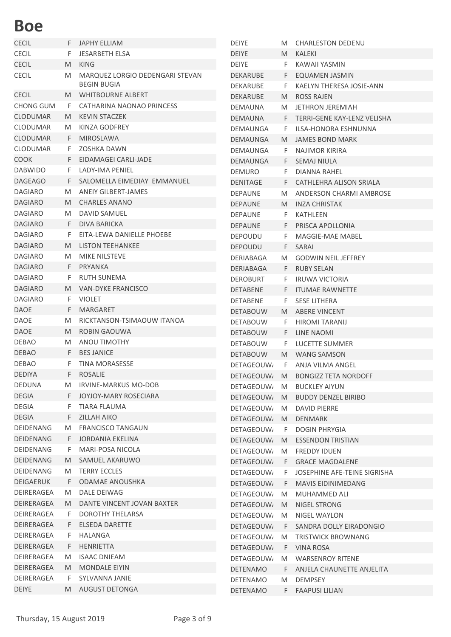| <b>CECIL</b>      | F. | JAPHY ELLIAM                                | <b>DEIYE</b>     | M  | <b>CHARLESTON DEDENU</b>          |
|-------------------|----|---------------------------------------------|------------------|----|-----------------------------------|
| <b>CECIL</b>      | F. | <b>JESARBETH ELSA</b>                       | <b>DEIYE</b>     | M  | KALEKI                            |
| <b>CECIL</b>      | M. | <b>DEIYE</b><br>F.<br>KAWAII YASMIN<br>KING |                  |    |                                   |
| <b>CECIL</b>      | M  | MARQUEZ LORGIO DEDENGARI STEVAN             | DEKARUBE         |    | F EQUAMEN JASMIN                  |
|                   |    | <b>BEGIN BUGIA</b>                          | DEKARUBE         | F. | KAELYN THERESA JOSIE-ANN          |
| <b>CECIL</b>      | M. | <b>WHITBOURNE ALBERT</b>                    | DEKARUBE         | M  | <b>ROSS RAJEN</b>                 |
| <b>CHONG GUM</b>  | F. | CATHARINA NAONAO PRINCESS                   | DEMAUNA          | M  | <b>JETHRON JEREMIAH</b>           |
| CLODUMAR          | M  | <b>KEVIN STACZEK</b>                        | DEMAUNA          | F. | TERRI-GENE KAY-LENZ VELISHA       |
| <b>CLODUMAR</b>   | M  | KINZA GODFREY                               | DEMAUNGA         | F. | ILSA-HONORA ESHNUNNA              |
| <b>CLODUMAR</b>   | F. | <b>MIROSLAWA</b>                            | DEMAUNGA         | M  | <b>JAMES BOND MARK</b>            |
| <b>CLODUMAR</b>   | F. | ZOSHKA DAWN                                 | <b>DEMAUNGA</b>  | F. | NAJIMOR KIRIRA                    |
| <b>COOK</b>       |    | F EIDAMAGEI CARLI-JADE                      | DEMAUNGA         | F. | SEMAJ NIULA                       |
| <b>DABWIDO</b>    |    | F LADY-IMA PENIEL                           | <b>DEMURO</b>    | F. | DIANNA RAHEL                      |
| <b>DAGEAGO</b>    |    | F SALOMELLA EIMEDIAY EMMANUEL               | DENITAGE         | F. | CATHLEHRA ALISON SRIALA           |
| DAGIARO           | M  | ANEIY GILBERT-JAMES                         | <b>DEPAUNE</b>   | M  | ANDERSON CHARMI AMBROSE           |
| <b>DAGIARO</b>    | M  | <b>CHARLES ANANO</b>                        | <b>DEPAUNE</b>   | M  | <b>INZA CHRISTAK</b>              |
| <b>DAGIARO</b>    | M  | <b>DAVID SAMUEL</b>                         | <b>DEPAUNE</b>   | F. | KATHLEEN                          |
| <b>DAGIARO</b>    | F. | DIVA BARICKA                                | <b>DEPAUNE</b>   |    | F PRISCA APOLLONIA                |
| <b>DAGIARO</b>    | F. | EITA-LEWA DANIELLE PHOEBE                   | <b>DEPOUDU</b>   | F. | MAGGIE-MAE MABEL                  |
| <b>DAGIARO</b>    | M  | <b>LISTON TEEHANKEE</b>                     | <b>DEPOUDU</b>   | F. | SARAI                             |
| <b>DAGIARO</b>    | M  | MIKE NILSTEVE                               | DERIABAGA        | M  | <b>GODWIN NEIL JEFFREY</b>        |
| <b>DAGIARO</b>    | F. | PRYANKA                                     | DERIABAGA        | F. | RUBY SELAN                        |
| <b>DAGIARO</b>    | F. | <b>RUTH SUNEMA</b>                          | <b>DEROBURT</b>  | F. | <b>IRUWA VICTORIA</b>             |
| <b>DAGIARO</b>    |    | M VAN-DYKE FRANCISCO                        | DETABENE         | F. | <b>ITUMAE RAWNETTE</b>            |
| <b>DAGIARO</b>    | F. | <b>VIOLET</b>                               | DETABENE         | F. | SESE LITHERA                      |
| DAOE              | F. | MARGARET                                    | <b>DETABOUW</b>  | M  | <b>ABERE VINCENT</b>              |
| DAOE              | M  | RICKTANSON-TSIMAOUW ITANOA                  | <b>DETABOUW</b>  | F. | <b>HIROMI TARANIJ</b>             |
| DAOE              | M  | <b>ROBIN GAOUWA</b>                         | <b>DETABOUW</b>  | F. | LINE NAOMI                        |
| <b>DEBAO</b>      | M  | ANOU TIMOTHY                                | <b>DETABOUW</b>  | F. | LUCETTE SUMMER                    |
| <b>DEBAO</b>      | F. | <b>BES JANICE</b>                           | <b>DETABOUW</b>  | M  | <b>WANG SAMSON</b>                |
| <b>DEBAO</b>      | F. | <b>TINA MORASESSE</b>                       | DETAGEOUW/       | F. | ANJA VILMA ANGEL                  |
| <b>DEDIYA</b>     | F. | ROSALIE                                     |                  |    | DETAGEOUW/ M BONGIZZ TETA NORDOFF |
| <b>DEDUNA</b>     |    | M IRVINE-MARKUS MO-DOB                      |                  |    | DETAGEOUW/ M BUCKLEY AIYUN        |
| DEGIA             |    | F JOYJOY-MARY ROSECIARA                     | DETAGEOUW/       | M  | <b>BUDDY DENZEL BIRIBO</b>        |
| DEGIA             |    | F TIARA FLAUMA                              | DETAGEOUW/       | M  | <b>DAVID PIERRE</b>               |
| <b>DEGIA</b>      | F. | <b>ZILLAH AIKO</b>                          | DETAGEOUW/       | M  | DENMARK                           |
| DEIDENANG         | M  | <b>FRANCISCO TANGAUN</b>                    | DETAGEOUW/       | -F | <b>DOGIN PHRYGIA</b>              |
| <b>DEIDENANG</b>  |    | F JORDANIA EKELINA                          | <b>DETAGEOUW</b> |    | M ESSENDON TRISTIAN               |
| DEIDENANG         | F. | MARI-POSA NICOLA                            | DETAGEOUW/       | M  | <b>FREDDY IDUEN</b>               |
| <b>DEIDENANG</b>  | M. | SAMUEL AKARUWO                              | DETAGEOUW/       | F. | <b>GRACE MAGDALENE</b>            |
| <b>DEIDENANG</b>  | M  | <b>TERRY ECCLES</b>                         | DETAGEOUW/       | F. | JOSEPHINE AFE-TEINE SIGRISHA      |
| <b>DEIGAERUK</b>  | F. | ODAMAE ANOUSHKA                             | DETAGEOUW/       | F. | <b>MAVIS EIDINIMEDANG</b>         |
| DEIRERAGEA        | M  | DALE DEIWAG                                 | DETAGEOUW/       | M  | MUHAMMED ALI                      |
| DEIRERAGEA        | M  | DANTE VINCENT JOVAN BAXTER                  | DETAGEOUW/       | M  | NIGEL STRONG                      |
| DEIRERAGEA        | F. | DOROTHY THELARSA                            | DETAGEOUW/       | M  | NIGEL WAYLON                      |
| <b>DEIRERAGEA</b> |    | F ELSEDA DARETTE                            | DETAGEOUW/       | F  | SANDRA DOLLY EIRADONGIO           |
| DEIRERAGEA        | F. | HALANGA                                     | DETAGEOUW/       | M  | TRISTWICK BROWNANG                |
| DEIRERAGEA        | F. | HENRIETTA                                   | DETAGEOUW/       | F. | VINA ROSA                         |
| DEIRERAGEA        | M  | <b>ISAAC DNIEAM</b>                         | DETAGEOUW/       | M  | <b>WARSENROY RITENE</b>           |
| DEIRERAGEA        | M  | <b>MONDALE EIYIN</b>                        | <b>DETENAMO</b>  | F. | ANJELA CHAUNETTE ANJELITA         |
| DEIRERAGEA        | F. | SYLVANNA JANIE                              | DETENAMO         | M  | DEMPSEY                           |
| <b>DEIYE</b>      | M. | AUGUST DETONGA                              | <b>DETENAMO</b>  |    | F FAAPUSI LILIAN                  |
|                   |    |                                             |                  |    |                                   |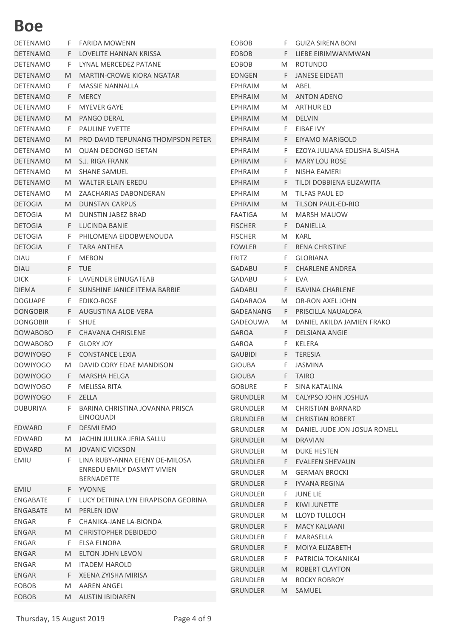| DETENAMO              |         | F FARIDA MOWENN                                 | <b>EOBOB</b>                 | F. | <b>GUIZA SIRENA BONI</b>        |
|-----------------------|---------|-------------------------------------------------|------------------------------|----|---------------------------------|
| <b>DETENAMO</b>       |         | F LOVELITE HANNAN KRISSA                        | EOBOB                        | F. | LIEBE EIRIMWANMWAN              |
| DETENAMO              | F.,     | LYNAL MERCEDEZ PATANE                           | <b>EOBOB</b><br>ROTUNDO<br>M |    |                                 |
| <b>DETENAMO</b>       | M.      | MARTIN-CROWE KIORA NGATAR                       | EONGEN                       | F. | <b>JANESE EIDEATI</b>           |
| <b>DETENAMO</b>       | F.      | <b>MASSIE NANNALLA</b>                          | EPHRAIM                      | M  | ABEL                            |
| <b>DETENAMO</b>       | F.      | <b>MERCY</b>                                    | EPHRAIM                      | M  | ANTON ADENO                     |
| <b>DETENAMO</b>       | F.      | <b>MYEVER GAYE</b>                              | EPHRAIM                      | M  | <b>ARTHUR ED</b>                |
| <b>DETENAMO</b>       | M.      | <b>PANGO DERAL</b>                              | EPHRAIM                      |    | M DELVIN                        |
| <b>DETENAMO</b>       | F.      | <b>PAULINE YVETTE</b>                           | <b>EPHRAIM</b>               |    | F EIBAE IVY                     |
| <b>DETENAMO</b>       | M.      | PRO-DAVID TEPUNANG THOMPSON PETER               | EPHRAIM                      | F. | EIYAMO MARIGOLD                 |
| DETENAMO              | M.      | QUAN-DEDONGO ISETAN                             | EPHRAIM                      |    | F EZOYA JULIANA EDLISHA BLAISHA |
| <b>DETENAMO</b>       | M.      | S.J. RIGA FRANK                                 | EPHRAIM                      |    | F MARY LOU ROSE                 |
| <b>DETENAMO</b>       | M       | <b>SHANE SAMUEL</b>                             | EPHRAIM                      |    | F NISHA EAMERI                  |
| <b>DETENAMO</b>       | M       | <b>WALTER ELAIN EREDU</b>                       | EPHRAIM                      | F. | TILDI DOBBIENA ELIZAWITA        |
| <b>DETENAMO</b>       | M       | ZAACHARIAS DABONDERAN                           | EPHRAIM                      | M  | TILFAS PAUL ED                  |
| <b>DETOGIA</b>        | M.      | DUNSTAN CARPUS                                  | EPHRAIM                      | M  | TILSON PAUL-ED-RIO              |
| <b>DETOGIA</b>        | M       | DUNSTIN JABEZ BRAD                              | FAATIGA                      | M  | <b>MARSH MAUOW</b>              |
| <b>DETOGIA</b>        | F.      | LUCINDA BANIE                                   | <b>FISCHER</b>               | F. | DANIELLA                        |
| <b>DETOGIA</b>        | F.      | PHILOMENA EIDOBWENOUDA                          | <b>FISCHER</b>               | M  | KARL                            |
| <b>DETOGIA</b>        |         | F TARA ANTHEA                                   | <b>FOWLER</b>                |    | <b>F</b> RENA CHRISTINE         |
| <b>DIAU</b>           | F.      | <b>MEBON</b>                                    | <b>FRITZ</b>                 |    | F GLORIANA                      |
| <b>DIAU</b>           |         | F TUE                                           | GADABU                       | F. | <b>CHARLENE ANDREA</b>          |
| <b>DICK</b>           |         | F LAVENDER EINUGATEAB                           | GADABU                       |    | F EVA                           |
| <b>DIEMA</b>          |         | F SUNSHINE JANICE ITEMA BARBIE                  | <b>GADABU</b>                |    | F ISAVINA CHARLENE              |
| <b>DOGUAPE</b>        | F.      | EDIKO-ROSE                                      | GADARAOA                     | M  | OR-RON AXEL JOHN                |
| <b>DONGOBIR</b>       | F.      | AUGUSTINA ALOE-VERA                             | GADEANANG                    | F. | PRISCILLA NAUALOFA              |
| <b>DONGOBIR</b>       | F.      | SHUE                                            | GADEOUWA                     | M  | DANIEL AKILDA JAMIEN FRAKO      |
| <b>DOWABOBO</b>       |         | F CHAVANA CHRISLENE                             | <b>GAROA</b>                 | F. | <b>DELSIANA ANGIE</b>           |
| <b>DOWABOBO</b>       | F.      | <b>GLORY JOY</b>                                | GAROA                        | F. | KELERA                          |
| <b>DOWIYOGO</b>       | F.      | <b>CONSTANCE LEXIA</b>                          | <b>GAUBIDI</b>               |    | F TERESIA                       |
| <b>DOWIYOGO</b>       | M       | DAVID CORY EDAE MANDISON                        | <b>GIOUBA</b>                |    | F JASMINA                       |
| <b>DOWIYOGO</b>       |         | F MARSHA HELGA                                  | GIOUBA                       |    | F TAIRO                         |
| <b>DOWIYOGO</b>       | F.      | <b>MELISSA RITA</b>                             | <b>GOBURE</b>                | F  | <b>SINA KATALINA</b>            |
| <b>DOWIYOGO</b>       | F.      | ZELLA                                           | <b>GRUNDLER</b>              | M  | CALYPSO JOHN JOSHUA             |
| <b>DUBURIYA</b>       | F.      | BARINA CHRISTINA JOVANNA PRISCA                 | <b>GRUNDLER</b>              | M  | <b>CHRISTIAN BARNARD</b>        |
|                       |         | EINOQUADI                                       | <b>GRUNDLER</b>              | M  | <b>CHRISTIAN ROBERT</b>         |
| EDWARD                | F.      | <b>DESMI EMO</b>                                | <b>GRUNDLER</b>              | M  | DANIEL-JUDE JON-JOSUA RONELL    |
| EDWARD                | M       | JACHIN JULUKA JERIA SALLU                       | <b>GRUNDLER</b>              | M  | <b>DRAVIAN</b>                  |
| <b>EDWARD</b>         | M.      | <b>JOVANIC VICKSON</b>                          | <b>GRUNDLER</b>              | M  | <b>DUKE HESTEN</b>              |
| <b>EMIU</b>           | F.      | LINA RUBY-ANNA EFENY DE-MILOSA                  | <b>GRUNDLER</b>              | F. | <b>EVALEEN SHEVAUN</b>          |
|                       |         | ENREDU EMILY DASMYT VIVIEN                      | <b>GRUNDLER</b>              | M  | <b>GERMAN BROCKI</b>            |
| <b>EMIU</b>           |         | BERNADETTE<br>F YVONNE                          | <b>GRUNDLER</b>              | F. | <b>IYVANA REGINA</b>            |
| ENGABATE              |         | LUCY DETRINA LYN EIRAPISORA GEORINA             | <b>GRUNDLER</b>              | F. | <b>JUNE LIE</b>                 |
|                       | F.      | PERLEN IOW                                      | <b>GRUNDLER</b>              | F  | KIWI JUNETTE                    |
| ENGABATE              | M       | CHANIKA-JANE LA-BIONDA                          | <b>GRUNDLER</b>              | M  | LLOYD TULLOCH                   |
| ENGAR<br><b>ENGAR</b> | F.      | CHRISTOPHER DEBIDEDO                            | <b>GRUNDLER</b>              | F. | <b>MACY KALIAANI</b>            |
|                       | M       | ELSA ELNORA                                     | <b>GRUNDLER</b>              | F  | MARASELLA                       |
| ENGAR                 | F.      |                                                 | <b>GRUNDLER</b>              | F  | MOIYA ELIZABETH                 |
| ENGAR<br>ENGAR        | M<br>M  | <b>ELTON-JOHN LEVON</b><br><b>ITADEM HAROLD</b> | <b>GRUNDLER</b>              | F  | PATRICIA TOKANIKAI              |
|                       |         | XEENA ZYISHA MIRISA                             | <b>GRUNDLER</b>              | M  | <b>ROBERT CLAYTON</b>           |
| ENGAR<br>EOBOB        | F.<br>M | <b>AAREN ANGEL</b>                              | <b>GRUNDLER</b>              | M  | <b>ROCKY ROBROY</b>             |
| <b>EOBOB</b>          | M       | <b>AUSTIN IBIDIAREN</b>                         | <b>GRUNDLER</b>              | M  | SAMUEL                          |
|                       |         |                                                 |                              |    |                                 |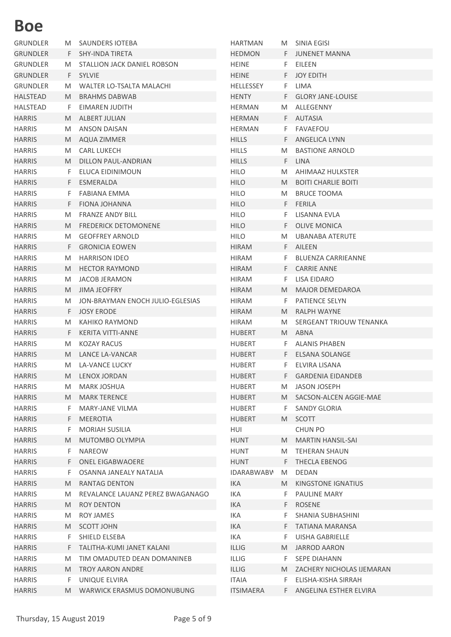| <b>GRUNDLER</b> | M  | <b>SAUNDERS IOTEBA</b>            | <b>HARTMAN</b>    | M  | <b>SINIA EGISI</b>         |
|-----------------|----|-----------------------------------|-------------------|----|----------------------------|
| <b>GRUNDLER</b> | F. | SHY-INDA TIRETA                   | <b>HEDMON</b>     |    | F JUNENET MANNA            |
| GRUNDLER        | M  | STALLION JACK DANIEL ROBSON       | HEINE             |    | F EILEEN                   |
| <b>GRUNDLER</b> | F. | <b>SYLVIE</b>                     | <b>HEINE</b>      |    | F JOY EDITH                |
| <b>GRUNDLER</b> | M  | WALTER LO-TSALTA MALACHI          | HELLESSEY         |    | F LIMA                     |
| <b>HALSTEAD</b> | M. | <b>BRAHMS DABWAB</b>              | <b>HENTY</b>      |    | F GLORY JANE-LOUISE        |
| <b>HALSTEAD</b> | F. | EIMAREN JUDITH                    | <b>HERMAN</b>     | M  | ALLEGENNY                  |
| <b>HARRIS</b>   | M  | <b>ALBERT JULIAN</b>              | <b>HERMAN</b>     |    | F AUTASIA                  |
| <b>HARRIS</b>   | M  | ANSON DAISAN                      | HERMAN            |    | F FAVAEFOU                 |
| <b>HARRIS</b>   | M  | AQUA ZIMMER                       | <b>HILLS</b>      |    | F ANGELICA LYNN            |
| <b>HARRIS</b>   | M  | <b>CARL LUKECH</b>                | <b>HILLS</b>      | M  | <b>BASTIONE ARNOLD</b>     |
| <b>HARRIS</b>   | M  | <b>DILLON PAUL-ANDRIAN</b>        | <b>HILLS</b>      | F. | <b>LINA</b>                |
| <b>HARRIS</b>   | F. | ELUCA EIDINIMOUN                  | <b>HILO</b>       | M  | AHIMAAZ HULKSTER           |
| <b>HARRIS</b>   | F. | ESMERALDA                         | <b>HILO</b>       | M  | <b>BOITI CHARLIE BOITI</b> |
| <b>HARRIS</b>   | F. | FABIANA EMMA                      | <b>HILO</b>       | M  | <b>BRUCE TOOMA</b>         |
| <b>HARRIS</b>   | F. | FIONA JOHANNA                     | <b>HILO</b>       |    | F FERILA                   |
| <b>HARRIS</b>   | M  | <b>FRANZE ANDY BILL</b>           | <b>HILO</b>       |    | F LISANNA EVLA             |
| <b>HARRIS</b>   | M  | <b>FREDERICK DETOMONENE</b>       | <b>HILO</b>       |    | <b>F</b> OLIVE MONICA      |
| <b>HARRIS</b>   | M  | <b>GEOFFREY ARNOLD</b>            | <b>HILO</b>       | M. | <b>UBANABA ATERUTE</b>     |
| <b>HARRIS</b>   | F. | <b>GRONICIA EOWEN</b>             | <b>HIRAM</b>      |    | F AILEEN                   |
| <b>HARRIS</b>   | M  | <b>HARRISON IDEO</b>              | HIRAM             | F. | <b>BLUENZA CARRIEANNE</b>  |
| <b>HARRIS</b>   | M  | <b>HECTOR RAYMOND</b>             | <b>HIRAM</b>      | F. | <b>CARRIE ANNE</b>         |
| <b>HARRIS</b>   | M  | <b>JACOB JERAMON</b>              | <b>HIRAM</b>      | F. | LISA EIDARO                |
| <b>HARRIS</b>   | M  | <b>JIMA JEOFFRY</b>               | <b>HIRAM</b>      | M  | <b>MAJOR DEMEDAROA</b>     |
| <b>HARRIS</b>   | M  | JON-BRAYMAN ENOCH JULIO-EGLESIAS  | <b>HIRAM</b>      |    | F PATIENCE SELYN           |
| <b>HARRIS</b>   | F. | <b>JOSY ERODE</b>                 | HIRAM             | M  | <b>RALPH WAYNE</b>         |
| <b>HARRIS</b>   | M  | KAHIKO RAYMOND                    | HIRAM             | M  | SERGEANT TRIOUW TENANKA    |
| <b>HARRIS</b>   | F. | <b>KERITA VITTI-ANNE</b>          | <b>HUBERT</b>     |    | M ABNA                     |
| <b>HARRIS</b>   | M  | <b>KOZAY RACUS</b>                | <b>HUBERT</b>     |    | F ALANIS PHABEN            |
| <b>HARRIS</b>   | M  | LANCE LA-VANCAR                   | <b>HUBERT</b>     |    | F ELSANA SOLANGE           |
| <b>HARRIS</b>   | M  | LA-VANCE LUCKY                    | <b>HUBERT</b>     | F. | ELVIRA LISANA              |
| <b>HARRIS</b>   | M  | LENOX JORDAN                      | <b>HUBERT</b>     |    | F GARDENIA EIDANDEB        |
| <b>HARRIS</b>   | M  | MARK JOSHUA                       | HUBERT            | M  | JASON JOSEPH               |
| <b>HARRIS</b>   | M  | <b>MARK TERENCE</b>               | <b>HUBERT</b>     | M  | SACSON-ALCEN AGGIE-MAE     |
| <b>HARRIS</b>   | F  | <b>MARY-JANE VILMA</b>            | <b>HUBERT</b>     | F  | <b>SANDY GLORIA</b>        |
| <b>HARRIS</b>   | F. | MEEROTIA                          | <b>HUBERT</b>     | M  | SCOTT                      |
| <b>HARRIS</b>   | F. | <b>MORIAH SUSILIA</b>             | HUI               |    | <b>CHUN PO</b>             |
| <b>HARRIS</b>   | M  | MUTOMBO OLYMPIA                   | <b>HUNT</b>       | M  | <b>MARTIN HANSIL-SAI</b>   |
| <b>HARRIS</b>   | F. | NAREOW                            | <b>HUNT</b>       | M  | <b>TEHERAN SHAUN</b>       |
| <b>HARRIS</b>   | F. | <b>ONEL EIGABWAOERE</b>           | <b>HUNT</b>       |    | F THECLA EBENOG            |
| <b>HARRIS</b>   | F. | OSANNA JANEALY NATALIA            | <b>IDARABWABW</b> | M  | DEDAN                      |
| <b>HARRIS</b>   |    | <b>RANTAG DENTON</b>              | IKA               | M  | KINGSTONE IGNATIUS         |
|                 | M  | REVALANCE LAUANZ PEREZ BWAGANAGO  | IKA               |    | PAULINE MARY               |
| <b>HARRIS</b>   | M  |                                   |                   | F. |                            |
| <b>HARRIS</b>   | M  | <b>ROY DENTON</b>                 | <b>IKA</b>        | F. | ROSENE                     |
| <b>HARRIS</b>   | M  | <b>ROY JAMES</b>                  | IKA               | F  | SHANIA SUBHASHINI          |
| <b>HARRIS</b>   | M  | <b>SCOTT JOHN</b>                 | IKA               | F. | <b>TATIANA MARANSA</b>     |
| <b>HARRIS</b>   | F  | SHIELD ELSEBA                     | IKA               | F  | <b>UISHA GABRIELLE</b>     |
| <b>HARRIS</b>   | F. | TALITHA-KUMI JANET KALANI         | <b>ILLIG</b>      | M  | <b>JARROD AARON</b>        |
| <b>HARRIS</b>   | M  | TIM OMADUTED DEAN DOMANINEB       | ILLIG             | F  | <b>SEPE DIAHANN</b>        |
| <b>HARRIS</b>   | M  | TROY AARON ANDRE                  | <b>ILLIG</b>      | M  | ZACHERY NICHOLAS IJEMARAN  |
| <b>HARRIS</b>   | F  | UNIQUE ELVIRA                     | <b>ITAIA</b>      | F. | ELISHA-KISHA SIRRAH        |
| <b>HARRIS</b>   | M. | <b>WARWICK ERASMUS DOMONUBUNG</b> | <b>ITSIMAERA</b>  |    | F ANGELINA ESTHER ELVIRA   |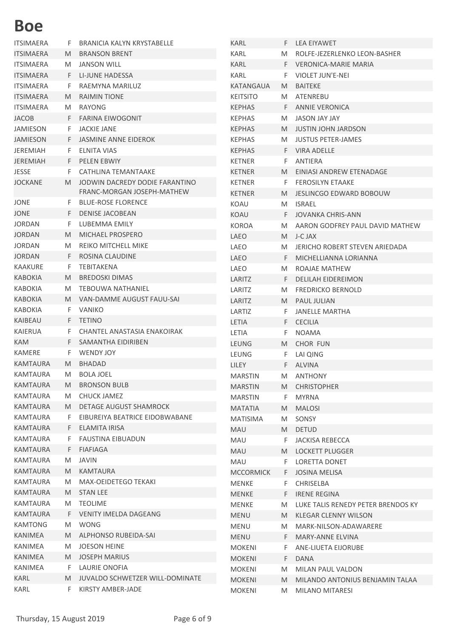| <b>ITSIMAERA</b> | F. | <b>BRANICIA KALYN KRYSTABELLE</b> | <b>KARL</b>      | F. | LEA EIYAWET                        |  |  |
|------------------|----|-----------------------------------|------------------|----|------------------------------------|--|--|
| <b>ITSIMAERA</b> | M  | <b>BRANSON BRENT</b>              | <b>KARL</b>      | M  | ROLFE-JEZERLENKO LEON-BASHER       |  |  |
| <b>ITSIMAERA</b> | M  | <b>JANSON WILL</b>                | <b>KARL</b>      |    | F VERONICA-MARIE MARIA             |  |  |
| <b>ITSIMAERA</b> | F. | LI-JUNE HADESSA                   | <b>KARL</b>      |    | F VIOLET JUN'E-NEI                 |  |  |
| <b>ITSIMAERA</b> | F. | RAEMYNA MARILUZ                   | KATANGAUA        | M  | <b>BAITEKE</b>                     |  |  |
| <b>ITSIMAERA</b> | M  | <b>RAIMIN TIONE</b>               | <b>KEITSITO</b>  |    | M ATENREBU                         |  |  |
| <b>ITSIMAERA</b> | M  | RAYONG                            | <b>KEPHAS</b>    |    | F ANNIE VERONICA                   |  |  |
| <b>JACOB</b>     |    | F FARINA EIWOGONIT                | <b>KEPHAS</b>    | M  | JASON JAY JAY                      |  |  |
| <b>JAMIESON</b>  | F. | JACKIE JANE                       | <b>KEPHAS</b>    | M  | JUSTIN JOHN JARDSON                |  |  |
| <b>JAMIESON</b>  |    | <b>F</b> JASMINE ANNE EIDEROK     | <b>KEPHAS</b>    | M  | <b>JUSTUS PETER-JAMES</b>          |  |  |
| JEREMIAH         | F. | ELNITA VIAS                       | <b>KEPHAS</b>    |    | F VIRA ADELLE                      |  |  |
| JEREMIAH         |    | <b>F</b> PELEN EBWIY              | KETNER           | F. | ANTIERA                            |  |  |
| <b>JESSE</b>     | F. | CATHLINA TEMANTAAKE               | <b>KETNER</b>    |    | M EINIASI ANDREW ETENADAGE         |  |  |
| <b>JOCKANE</b>   | M. | JODWIN DACREDY DODIE FARANTINO    | <b>KETNER</b>    | F. | FEROSILYN ETAAKE                   |  |  |
|                  |    | FRANC-MORGAN JOSEPH-MATHEW        | <b>KETNER</b>    | M  | JESLINCGO EDWARD BOBOUW            |  |  |
| JONE             | F. | <b>BLUE-ROSE FLORENCE</b>         | <b>KOAU</b>      | M  | <b>ISRAEL</b>                      |  |  |
| <b>JONE</b>      |    | F DENISE JACOBEAN                 | KOAU             | F. | JOVANKA CHRIS-ANN                  |  |  |
| <b>JORDAN</b>    |    | F LUBEMMA EMILY                   | <b>KOROA</b>     |    | M AARON GODFREY PAUL DAVID MATHEW  |  |  |
| <b>JORDAN</b>    | M. | <b>MICHAEL PROSPERO</b>           | LAEO             | M  | J-C JAX                            |  |  |
| <b>JORDAN</b>    | M  | REIKO MITCHELL MIKE               | LAEO             | M  | JERICHO ROBERT STEVEN ARIEDADA     |  |  |
| <b>JORDAN</b>    |    | F ROSINA CLAUDINE                 | LAEO             | F. | MICHELLIANNA LORIANNA              |  |  |
| KAAKURE          | F. | TEBITAKENA                        | LAEO             | M  | ROAJAE MATHEW                      |  |  |
| <b>KABOKIA</b>   | M  | <b>BREDOSKI DIMAS</b>             | LARITZ           | F. | DELILAH EIDEREIMON                 |  |  |
| KABOKIA          | M  | TEBOUWA NATHANIEL                 | LARITZ           | M  | <b>FREDRICKO BERNOLD</b>           |  |  |
| <b>KABOKIA</b>   |    | M VAN-DAMME AUGUST FAUU-SAI       | LARITZ           | M  | PAUL JULIAN                        |  |  |
| <b>KABOKIA</b>   |    | F VANIKO                          | LARTIZ           | F. | <b>JANELLE MARTHA</b>              |  |  |
| KAIBEAU          |    | F TETINO                          | <b>LETIA</b>     |    | F CECILIA                          |  |  |
| <b>KAIERUA</b>   | F. | CHANTEL ANASTASIA ENAKOIRAK       | LETIA            | F. | <b>NOAMA</b>                       |  |  |
| KAM              |    | F SAMANTHA EIDIRIBEN              | <b>LEUNG</b>     | M. | <b>CHOR FUN</b>                    |  |  |
| KAMERE           | F. | <b>WENDY JOY</b>                  | LEUNG            | F. | LAI QING                           |  |  |
| KAMTAURA         | M  | BHADAD                            | <b>LILEY</b>     |    | F ALVINA                           |  |  |
| <b>KAMTAURA</b>  | M  | <b>BOLA JOEL</b>                  | <b>MARSTIN</b>   |    | M ANTHONY                          |  |  |
| <b>KAMTAURA</b>  | M. | <b>BRONSON BULB</b>               | <b>MARSTIN</b>   | M  | <b>CHRISTOPHER</b>                 |  |  |
| KAMTAURA         | M  | <b>CHUCK JAMEZ</b>                | <b>MARSTIN</b>   | F. | MYRNA                              |  |  |
| <b>KAMTAURA</b>  | M  | <b>DETAGE AUGUST SHAMROCK</b>     | <b>MATATIA</b>   | M  | <b>MALOSI</b>                      |  |  |
| <b>KAMTAURA</b>  | F. | EIBUREIYA BEATRICE EIDOBWABANE    | <b>MATISIMA</b>  | M  | SONSY                              |  |  |
| <b>KAMTAURA</b>  |    | F ELAMITA IRISA                   | MAU              | M  | <b>DETUD</b>                       |  |  |
| KAMTAURA         | F. | <b>FAUSTINA EIBUADUN</b>          | MAU              | F. | JACKISA REBECCA                    |  |  |
| <b>KAMTAURA</b>  | F. | FIAFIAGA                          | MAU              |    | M LOCKETT PLUGGER                  |  |  |
| KAMTAURA         | M  | <b>JAVIN</b>                      | MAU              | F. | <b>LORETTA DONET</b>               |  |  |
| <b>KAMTAURA</b>  | M  | <b>KAMTAURA</b>                   | <b>MCCORMICK</b> | F. | JOSINA MELISA                      |  |  |
| <b>KAMTAURA</b>  | M  | MAX-OEIDETEGO TEKAKI              | <b>MENKE</b>     | F. | CHRISELBA                          |  |  |
| <b>KAMTAURA</b>  | M  | <b>STAN LEE</b>                   | <b>MENKE</b>     | F. | <b>IRENE REGINA</b>                |  |  |
| KAMTAURA         | M  | <b>TEOLIME</b>                    | <b>MENKE</b>     | M  | LUKE TALIS RENEDY PETER BRENDOS KY |  |  |
| <b>KAMTAURA</b>  |    | F VENITY IMELDA DAGEANG           | <b>MENU</b>      | M  | <b>KLEGAR CLENNY WILSON</b>        |  |  |
| KAMTONG          | M  | WONG                              | <b>MENU</b>      | M  | MARK-NILSON-ADAWARERE              |  |  |
| <b>KANIMEA</b>   | M. | ALPHONSO RUBEIDA-SAI              | <b>MENU</b>      | F. | MARY-ANNE ELVINA                   |  |  |
| <b>KANIMEA</b>   | M  | <b>JOESON HEINE</b>               | <b>MOKENI</b>    | F. | ANE-LIUETA EIJORUBE                |  |  |
| <b>KANIMEA</b>   | M  | <b>JOSEPH MARIUS</b>              | <b>MOKENI</b>    | F. | DANA                               |  |  |
| KANIMEA          | F. | LAURIE ONOFIA                     | <b>MOKENI</b>    | M  | <b>MILAN PAUL VALDON</b>           |  |  |
| KARL             | M. | JUVALDO SCHWETZER WILL-DOMINATE   | <b>MOKENI</b>    | M  | MILANDO ANTONIUS BENJAMIN TALAA    |  |  |
| KARL             | F. | KIRSTY AMBER-JADE                 | <b>MOKENI</b>    | M  | MILANO MITARESI                    |  |  |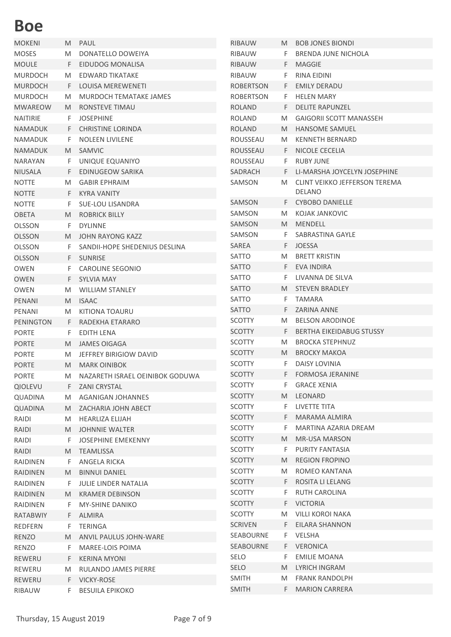| <b>MOKENI</b>   | M. | PAUL                            | RIBAUW                      | M  | <b>BOB JONES BIONDI</b>        |
|-----------------|----|---------------------------------|-----------------------------|----|--------------------------------|
| <b>MOSES</b>    | M  | DONATELLO DOWEIYA               | RIBAUW                      | F. | BRENDA JUNE NICHOLA            |
| <b>MOULE</b>    | F. | EIDUDOG MONALISA                | RIBAUW                      |    | F MAGGIE                       |
| <b>MURDOCH</b>  | M  | EDWARD TIKATAKE                 | RINA EIDINI<br>RIBAUW<br>F. |    |                                |
| <b>MURDOCH</b>  | F. | <b>LOUISA MEREWENETI</b>        | <b>ROBERTSON</b>            | F. | <b>EMILY DERADU</b>            |
| MURDOCH         | M  | MURDOCH TEMATAKE JAMES          | <b>ROBERTSON</b>            | F. | <b>HELEN MARY</b>              |
| <b>MWAREOW</b>  | M. | RONSTEVE TIMAU                  | <b>ROLAND</b>               | F. | <b>DELITE RAPUNZEL</b>         |
| NAITIRIE        | F. | <b>JOSEPHINE</b>                | <b>ROLAND</b>               | M  | <b>GAIGORII SCOTT MANASSEH</b> |
| NAMADUK         |    | <b>F</b> CHRISTINE LORINDA      | <b>ROLAND</b>               | M  | <b>HANSOME SAMUEL</b>          |
| NAMADUK         | F. | <b>NOLEEN LIVILENE</b>          | ROUSSEAU                    | M  | <b>KENNETH BERNARD</b>         |
| NAMADUK         |    | M SAMVIC                        | ROUSSEAU                    | F. | NICOLE CECELIA                 |
| <b>NARAYAN</b>  | F. | UNIQUE EQUANIYO                 | ROUSSEAU                    | F. | <b>RUBY JUNE</b>               |
| <b>NIUSALA</b>  |    | F EDINUGEOW SARIKA              | SADRACH                     | F. | LI-MARSHA JOYCELYN JOSEPHINE   |
| <b>NOTTE</b>    | M  | <b>GABIR EPHRAIM</b>            | SAMSON                      | M  | CLINT VEIKKO JEFFERSON TEREMA  |
| <b>NOTTE</b>    | F. | KYRA VANITY                     |                             |    | DELANO                         |
| <b>NOTTE</b>    | F. | SUE-LOU LISANDRA                | SAMSON                      |    | F CYBOBO DANIELLE              |
| OBETA           | M. | <b>ROBRICK BILLY</b>            | SAMSON                      | M  | KOJAK JANKOVIC                 |
| <b>OLSSON</b>   | F. | <b>DYLINNE</b>                  | SAMSON                      |    | M MENDELL                      |
| <b>OLSSON</b>   | M. | JOHN RAYONG KAZZ                | SAMSON                      | F. | SABRASTINA GAYLE               |
| <b>OLSSON</b>   | F. | SANDII-HOPE SHEDENIUS DESLINA   | SAREA                       |    | F JOESSA                       |
| <b>OLSSON</b>   | F. | SUNRISE                         | SATTO                       | M  | <b>BRETT KRISTIN</b>           |
| <b>OWEN</b>     | F. | CAROLINE SEGONIO                | <b>SATTO</b>                | F. | EVA INDIRA                     |
| OWEN            |    | F SYLVIA MAY                    | SATTO                       | F. | LIVANNA DE SILVA               |
| OWEN            | M  | <b>WILLIAM STANLEY</b>          | SATTO                       | M. | <b>STEVEN BRADLEY</b>          |
| PENANI          | M  | <b>ISAAC</b>                    | SATTO                       | F. | TAMARA                         |
| PENANI          | M  | KITIONA TOAURU                  | SATTO                       | F  | ZARINA ANNE                    |
| PENINGTON       |    | F RADEKHA ETARARO               | <b>SCOTTY</b>               | M  | <b>BELSON ARODINOE</b>         |
| <b>PORTE</b>    | F. | EDITH LENA                      | <b>SCOTTY</b>               | F. | BERTHA EIKEIDABUG STUSSY       |
| <b>PORTE</b>    | M. | <b>JAMES OIGAGA</b>             | <b>SCOTTY</b>               | M  | <b>BROCKA STEPHNUZ</b>         |
| <b>PORTE</b>    | M  | JEFFREY BIRIGIOW DAVID          | <b>SCOTTY</b>               | M  | <b>BROCKY MAKOA</b>            |
| <b>PORTE</b>    | M  | <b>MARK OINIBOK</b>             | <b>SCOTTY</b>               | F  | DAISY LOVINIA                  |
| <b>PORTE</b>    | M  | NAZARETH ISRAEL OEINIBOK GODUWA | SCOTTY                      |    | F FORMOSA JERANINE             |
| <b>QIOLEVU</b>  |    | F ZANI CRYSTAL                  | <b>SCOTTY</b>               | F. | <b>GRACE XENIA</b>             |
| <b>QUADINA</b>  | M  | AGANIGAN JOHANNES               | <b>SCOTTY</b>               | M  | LEONARD                        |
| <b>QUADINA</b>  | M. | ZACHARIA JOHN ABECT             | <b>SCOTTY</b>               | F  | LIVETTE TITA                   |
| RAIDI           | M  | <b>HEARLIZA ELIJAH</b>          | <b>SCOTTY</b>               | F. | <b>MARAMA ALMIRA</b>           |
| RAIDI           | M. | <b>JOHNNIE WALTER</b>           | <b>SCOTTY</b>               | F  | MARTINA AZARIA DREAM           |
| RAIDI           | F. | JOSEPHINE EMEKENNY              | <b>SCOTTY</b>               | M  | MR-USA MARSON                  |
| RAIDI           | M  | <b>TEAMLISSA</b>                | <b>SCOTTY</b>               | F  | PURITY FANTASIA                |
| RAIDINEN        | F. | ANGELA RICKA                    | <b>SCOTTY</b>               | M  | <b>REGION FROPINO</b>          |
| <b>RAIDINEN</b> | M  | <b>BINNUI DANIEL</b>            | <b>SCOTTY</b>               | M  | ROMEO KANTANA                  |
| RAIDINEN        | F. | JULIE LINDER NATALIA            | <b>SCOTTY</b>               | F. | ROSITA LI LELANG               |
| RAIDINEN        | M  | <b>KRAMER DEBINSON</b>          | <b>SCOTTY</b>               | F. | RUTH CAROLINA                  |
| RAIDINEN        | F. | <b>MY-SHINE DANIKO</b>          | <b>SCOTTY</b>               | F. | <b>VICTORIA</b>                |
| <b>RATABWIY</b> | F. | ALMIRA                          | <b>SCOTTY</b>               | M  | <b>VILLI KOROI NAKA</b>        |
| <b>REDFERN</b>  | F. | <b>TERINGA</b>                  | <b>SCRIVEN</b>              | F. | EILARA SHANNON                 |
| <b>RENZO</b>    | M. | ANVIL PAULUS JOHN-WARE          | SEABOURNE                   | F. | VELSHA                         |
| RENZO           | F. | MAREE-LOIS POIMA                | SEABOURNE                   | F. | <b>VERONICA</b>                |
| REWERU          | F. | KERINA MYONI                    | SELO                        | F  | <b>EMILIE MOANA</b>            |
| <b>REWERU</b>   | M  | RULANDO JAMES PIERRE            | SELO                        | M  | LYRICH INGRAM                  |
| <b>REWERU</b>   | F. | <b>VICKY-ROSE</b>               | <b>SMITH</b>                | M  | <b>FRANK RANDOLPH</b>          |
| <b>RIBAUW</b>   | F. | <b>BESUILA EPIKOKO</b>          | <b>SMITH</b>                | F. | <b>MARION CARRERA</b>          |
|                 |    |                                 |                             |    |                                |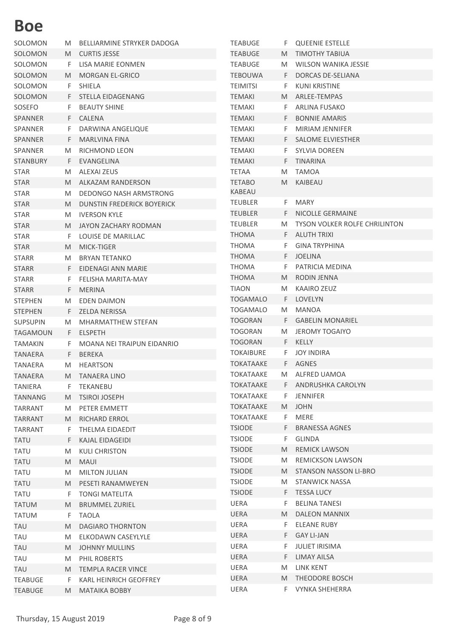| SOLOMON<br><b>CURTIS JESSE</b><br><b>TEABUGE</b><br>M<br>TIMOTHY TABIUA<br>M<br>SOLOMON<br>LISA MARIE EONMEN<br>TEABUGE<br>WILSON WANIKA JESSIE<br>F.<br>M<br>SOLOMON<br><b>MORGAN EL-GRICO</b><br><b>TEBOUWA</b><br>F DORCAS DE-SELIANA<br>M.<br>SOLOMON<br>SHIELA<br><b>KUNI KRISTINE</b><br><b>TEIMITSI</b><br>F.<br>F.<br>SOLOMON<br>F STELLA EIDAGENANG<br>ARLEE-TEMPAS<br>TEMAKI<br>M.<br>SOSEFO<br><b>BEAUTY SHINE</b><br>F.<br>TEMAKI<br>F ARLINA FUSAKO<br>F CALENA<br>F BONNIE AMARIS<br>SPANNER<br>TEMAKI<br>SPANNER<br>DARWINA ANGELIQUE<br><b>TEMAKI</b><br>F.<br>F MIRIAM JENNIFER<br>SPANNER<br><b>MARLVINA FINA</b><br><b>TEMAKI</b><br><b>SALOME ELVIESTHER</b><br>F.<br>F.<br><b>F</b> SYLVIA DOREEN<br>SPANNER<br>RICHMOND LEON<br>TEMAKI<br>M.<br>F EVANGELINA<br>F TINARINA<br>STANBURY<br>TEMAKI<br><b>STAR</b><br><b>ALEXAI ZEUS</b><br>TETAA<br>TAMOA<br>M<br>M<br>M ALKAZAM RANDERSON<br>KAIBEAU<br><b>STAR</b><br><b>TETABO</b><br>M<br>KABEAU<br><b>DEDONGO NASH ARMSTRONG</b><br><b>STAR</b><br>M<br><b>TEUBLER</b><br>F MARY<br><b>STAR</b><br>DUNSTIN FREDERICK BOYERICK<br>M.<br><b>TEUBLER</b><br><b>F</b> NICOLLE GERMAINE<br><b>STAR</b><br><b>IVERSON KYLE</b><br>M<br>TYSON VOLKER ROLFE CHRILINTON<br>TEUBLER<br>M<br>JAYON ZACHARY RODMAN<br><b>STAR</b><br>M.<br><b>THOMA</b><br>F ALUTH TRIXI<br><b>STAR</b><br>LOUISE DE MARILLAC<br>F.<br>F GINA TRYPHINA<br>THOMA<br>MICK-TIGER<br><b>STAR</b><br>M<br>F JOELINA<br>THOMA<br><b>STARR</b><br><b>BRYAN TETANKO</b><br>M<br><b>THOMA</b><br>PATRICIA MEDINA<br>F.<br><b>STARR</b><br>F EIDENAGI ANN MARIE<br>THOMA<br>RODIN JENNA<br>M<br><b>STARR</b><br>F FELISHA MARITA-MAY<br><b>TIAON</b><br>M KAAIRO ZEUZ<br><b>MERINA</b><br><b>STARR</b><br>F.<br>F LOVELYN<br><b>TOGAMALO</b><br><b>STEPHEN</b><br><b>EDEN DAIMON</b><br>M.<br><b>TOGAMALO</b><br>MANOA<br>M<br><b>STEPHEN</b><br><b>ZELDA NERISSA</b><br>F.<br>F GABELIN MONARIEL<br>TOGORAN<br><b>SUPSUPIN</b><br><b>MHARMATTHEW STEFAN</b><br>M.<br><b>JEROMY TOGAIYO</b><br>TOGORAN<br>M<br>F ELSPETH<br>TAGAMOUN<br>F KELLY<br><b>TOGORAN</b><br><b>TAMAKIN</b><br>MOANA NEI TRAIPUN EIDANRIO<br>F.<br>F JOY INDIRA<br><b>TOKAIBURE</b><br><b>TANAERA</b><br>F BEREKA<br><b>TOKATAAKE</b><br>F AGNES<br><b>TANAERA</b><br><b>HEARTSON</b><br>M<br>TOKATAAKE<br>M ALFRED UAMOA<br>TANAERA<br>M TANAERA LINO<br><b>TOKATAAKE</b><br>F ANDRUSHKA CAROLYN<br>TANIERA<br>TEKANEBU<br>F.<br><b>TOKATAAKE</b><br>JENNIFER<br>F.<br><b>TANNANG</b><br><b>TSIROI JOSEPH</b><br>M.<br><b>TOKATAAKE</b><br><b>JOHN</b><br>M<br><b>TARRANT</b><br>PETER EMMETT<br>M<br><b>MERE</b><br><b>TOKATAAKE</b><br>F.<br><b>TARRANT</b><br><b>RICHARD ERROL</b><br>M<br><b>TSIODE</b><br><b>BRANESSA AGNES</b><br>F.<br><b>TARRANT</b><br>THELMA EIDAEDIT<br>F.<br><b>TSIODE</b><br>F GLINDA<br><b>TATU</b><br>KAJAL EIDAGEIDI<br>F.<br><b>TSIODE</b><br><b>REMICK LAWSON</b><br>M<br><b>TATU</b><br><b>KULI CHRISTON</b><br>M<br><b>TSIODE</b><br><b>REMICKSON LAWSON</b><br>M<br><b>TATU</b><br><b>MAUI</b><br>M<br><b>TSIODE</b><br><b>STANSON NASSON LI-BRO</b><br>M<br><b>MILTON JULIAN</b><br><b>TATU</b><br>M<br><b>TSIODE</b><br><b>STANWICK NASSA</b><br>M<br><b>TATU</b><br>PESETI RANAMWEYEN<br>M.<br><b>TSIODE</b><br>F TESSA LUCY<br><b>TATU</b><br><b>TONGI MATELITA</b><br>F.<br>UERA<br>F.<br><b>BELINA TANESI</b><br><b>TATUM</b><br><b>BRUMMEL ZURIEL</b><br>M.<br><b>UERA</b><br><b>DALEON MANNIX</b><br>M<br>TAOLA<br>F.<br>UERA<br>ELEANE RUBY<br>F.<br><b>TAU</b><br><b>DAGIARO THORNTON</b><br>M<br><b>UERA</b><br>F GAY LI-JAN<br><b>TAU</b><br>ELKODAWN CASEYLYLE<br>M<br>UERA<br><b>JULIET IRISIMA</b><br>F.<br>TAU<br><b>JOHNNY MULLINS</b><br>M<br><b>UERA</b><br>F LIMAY AILSA<br><b>TAU</b><br>PHIL ROBERTS<br>M<br>UERA<br>LINK KENT<br>M<br>TAU<br><b>TEMPLA RACER VINCE</b><br>M.<br><b>UERA</b><br>THEODORE BOSCH<br>M<br><b>TEABUGE</b><br><b>KARL HEINRICH GEOFFREY</b><br>F.<br>UERA<br>F VYNKA SHEHERRA<br><b>TEABUGE</b><br><b>MATAIKA BOBBY</b><br>M. | SOLOMON      | M | BELLIARMINE STRYKER DADOGA | TEABUGE |  | <b>F</b> QUEENIE ESTELLE |
|---------------------------------------------------------------------------------------------------------------------------------------------------------------------------------------------------------------------------------------------------------------------------------------------------------------------------------------------------------------------------------------------------------------------------------------------------------------------------------------------------------------------------------------------------------------------------------------------------------------------------------------------------------------------------------------------------------------------------------------------------------------------------------------------------------------------------------------------------------------------------------------------------------------------------------------------------------------------------------------------------------------------------------------------------------------------------------------------------------------------------------------------------------------------------------------------------------------------------------------------------------------------------------------------------------------------------------------------------------------------------------------------------------------------------------------------------------------------------------------------------------------------------------------------------------------------------------------------------------------------------------------------------------------------------------------------------------------------------------------------------------------------------------------------------------------------------------------------------------------------------------------------------------------------------------------------------------------------------------------------------------------------------------------------------------------------------------------------------------------------------------------------------------------------------------------------------------------------------------------------------------------------------------------------------------------------------------------------------------------------------------------------------------------------------------------------------------------------------------------------------------------------------------------------------------------------------------------------------------------------------------------------------------------------------------------------------------------------------------------------------------------------------------------------------------------------------------------------------------------------------------------------------------------------------------------------------------------------------------------------------------------------------------------------------------------------------------------------------------------------------------------------------------------------------------------------------------------------------------------------------------------------------------------------------------------------------------------------------------------------------------------------------------------------------------------------------------------------------------------------------------------------------------------------------------------------------------------------------------------------------------------------------------------------------------------------------------------------------------------------------------------------------------------------------------------------------------------------------------------------------------------------------------------------------------------------------------------------------------------------------------------------------------|--------------|---|----------------------------|---------|--|--------------------------|
|                                                                                                                                                                                                                                                                                                                                                                                                                                                                                                                                                                                                                                                                                                                                                                                                                                                                                                                                                                                                                                                                                                                                                                                                                                                                                                                                                                                                                                                                                                                                                                                                                                                                                                                                                                                                                                                                                                                                                                                                                                                                                                                                                                                                                                                                                                                                                                                                                                                                                                                                                                                                                                                                                                                                                                                                                                                                                                                                                                                                                                                                                                                                                                                                                                                                                                                                                                                                                                                                                                                                                                                                                                                                                                                                                                                                                                                                                                                                                                                                                                 |              |   |                            |         |  |                          |
|                                                                                                                                                                                                                                                                                                                                                                                                                                                                                                                                                                                                                                                                                                                                                                                                                                                                                                                                                                                                                                                                                                                                                                                                                                                                                                                                                                                                                                                                                                                                                                                                                                                                                                                                                                                                                                                                                                                                                                                                                                                                                                                                                                                                                                                                                                                                                                                                                                                                                                                                                                                                                                                                                                                                                                                                                                                                                                                                                                                                                                                                                                                                                                                                                                                                                                                                                                                                                                                                                                                                                                                                                                                                                                                                                                                                                                                                                                                                                                                                                                 |              |   |                            |         |  |                          |
|                                                                                                                                                                                                                                                                                                                                                                                                                                                                                                                                                                                                                                                                                                                                                                                                                                                                                                                                                                                                                                                                                                                                                                                                                                                                                                                                                                                                                                                                                                                                                                                                                                                                                                                                                                                                                                                                                                                                                                                                                                                                                                                                                                                                                                                                                                                                                                                                                                                                                                                                                                                                                                                                                                                                                                                                                                                                                                                                                                                                                                                                                                                                                                                                                                                                                                                                                                                                                                                                                                                                                                                                                                                                                                                                                                                                                                                                                                                                                                                                                                 |              |   |                            |         |  |                          |
|                                                                                                                                                                                                                                                                                                                                                                                                                                                                                                                                                                                                                                                                                                                                                                                                                                                                                                                                                                                                                                                                                                                                                                                                                                                                                                                                                                                                                                                                                                                                                                                                                                                                                                                                                                                                                                                                                                                                                                                                                                                                                                                                                                                                                                                                                                                                                                                                                                                                                                                                                                                                                                                                                                                                                                                                                                                                                                                                                                                                                                                                                                                                                                                                                                                                                                                                                                                                                                                                                                                                                                                                                                                                                                                                                                                                                                                                                                                                                                                                                                 |              |   |                            |         |  |                          |
|                                                                                                                                                                                                                                                                                                                                                                                                                                                                                                                                                                                                                                                                                                                                                                                                                                                                                                                                                                                                                                                                                                                                                                                                                                                                                                                                                                                                                                                                                                                                                                                                                                                                                                                                                                                                                                                                                                                                                                                                                                                                                                                                                                                                                                                                                                                                                                                                                                                                                                                                                                                                                                                                                                                                                                                                                                                                                                                                                                                                                                                                                                                                                                                                                                                                                                                                                                                                                                                                                                                                                                                                                                                                                                                                                                                                                                                                                                                                                                                                                                 |              |   |                            |         |  |                          |
|                                                                                                                                                                                                                                                                                                                                                                                                                                                                                                                                                                                                                                                                                                                                                                                                                                                                                                                                                                                                                                                                                                                                                                                                                                                                                                                                                                                                                                                                                                                                                                                                                                                                                                                                                                                                                                                                                                                                                                                                                                                                                                                                                                                                                                                                                                                                                                                                                                                                                                                                                                                                                                                                                                                                                                                                                                                                                                                                                                                                                                                                                                                                                                                                                                                                                                                                                                                                                                                                                                                                                                                                                                                                                                                                                                                                                                                                                                                                                                                                                                 |              |   |                            |         |  |                          |
|                                                                                                                                                                                                                                                                                                                                                                                                                                                                                                                                                                                                                                                                                                                                                                                                                                                                                                                                                                                                                                                                                                                                                                                                                                                                                                                                                                                                                                                                                                                                                                                                                                                                                                                                                                                                                                                                                                                                                                                                                                                                                                                                                                                                                                                                                                                                                                                                                                                                                                                                                                                                                                                                                                                                                                                                                                                                                                                                                                                                                                                                                                                                                                                                                                                                                                                                                                                                                                                                                                                                                                                                                                                                                                                                                                                                                                                                                                                                                                                                                                 |              |   |                            |         |  |                          |
|                                                                                                                                                                                                                                                                                                                                                                                                                                                                                                                                                                                                                                                                                                                                                                                                                                                                                                                                                                                                                                                                                                                                                                                                                                                                                                                                                                                                                                                                                                                                                                                                                                                                                                                                                                                                                                                                                                                                                                                                                                                                                                                                                                                                                                                                                                                                                                                                                                                                                                                                                                                                                                                                                                                                                                                                                                                                                                                                                                                                                                                                                                                                                                                                                                                                                                                                                                                                                                                                                                                                                                                                                                                                                                                                                                                                                                                                                                                                                                                                                                 |              |   |                            |         |  |                          |
|                                                                                                                                                                                                                                                                                                                                                                                                                                                                                                                                                                                                                                                                                                                                                                                                                                                                                                                                                                                                                                                                                                                                                                                                                                                                                                                                                                                                                                                                                                                                                                                                                                                                                                                                                                                                                                                                                                                                                                                                                                                                                                                                                                                                                                                                                                                                                                                                                                                                                                                                                                                                                                                                                                                                                                                                                                                                                                                                                                                                                                                                                                                                                                                                                                                                                                                                                                                                                                                                                                                                                                                                                                                                                                                                                                                                                                                                                                                                                                                                                                 |              |   |                            |         |  |                          |
|                                                                                                                                                                                                                                                                                                                                                                                                                                                                                                                                                                                                                                                                                                                                                                                                                                                                                                                                                                                                                                                                                                                                                                                                                                                                                                                                                                                                                                                                                                                                                                                                                                                                                                                                                                                                                                                                                                                                                                                                                                                                                                                                                                                                                                                                                                                                                                                                                                                                                                                                                                                                                                                                                                                                                                                                                                                                                                                                                                                                                                                                                                                                                                                                                                                                                                                                                                                                                                                                                                                                                                                                                                                                                                                                                                                                                                                                                                                                                                                                                                 |              |   |                            |         |  |                          |
|                                                                                                                                                                                                                                                                                                                                                                                                                                                                                                                                                                                                                                                                                                                                                                                                                                                                                                                                                                                                                                                                                                                                                                                                                                                                                                                                                                                                                                                                                                                                                                                                                                                                                                                                                                                                                                                                                                                                                                                                                                                                                                                                                                                                                                                                                                                                                                                                                                                                                                                                                                                                                                                                                                                                                                                                                                                                                                                                                                                                                                                                                                                                                                                                                                                                                                                                                                                                                                                                                                                                                                                                                                                                                                                                                                                                                                                                                                                                                                                                                                 |              |   |                            |         |  |                          |
|                                                                                                                                                                                                                                                                                                                                                                                                                                                                                                                                                                                                                                                                                                                                                                                                                                                                                                                                                                                                                                                                                                                                                                                                                                                                                                                                                                                                                                                                                                                                                                                                                                                                                                                                                                                                                                                                                                                                                                                                                                                                                                                                                                                                                                                                                                                                                                                                                                                                                                                                                                                                                                                                                                                                                                                                                                                                                                                                                                                                                                                                                                                                                                                                                                                                                                                                                                                                                                                                                                                                                                                                                                                                                                                                                                                                                                                                                                                                                                                                                                 |              |   |                            |         |  |                          |
|                                                                                                                                                                                                                                                                                                                                                                                                                                                                                                                                                                                                                                                                                                                                                                                                                                                                                                                                                                                                                                                                                                                                                                                                                                                                                                                                                                                                                                                                                                                                                                                                                                                                                                                                                                                                                                                                                                                                                                                                                                                                                                                                                                                                                                                                                                                                                                                                                                                                                                                                                                                                                                                                                                                                                                                                                                                                                                                                                                                                                                                                                                                                                                                                                                                                                                                                                                                                                                                                                                                                                                                                                                                                                                                                                                                                                                                                                                                                                                                                                                 |              |   |                            |         |  |                          |
|                                                                                                                                                                                                                                                                                                                                                                                                                                                                                                                                                                                                                                                                                                                                                                                                                                                                                                                                                                                                                                                                                                                                                                                                                                                                                                                                                                                                                                                                                                                                                                                                                                                                                                                                                                                                                                                                                                                                                                                                                                                                                                                                                                                                                                                                                                                                                                                                                                                                                                                                                                                                                                                                                                                                                                                                                                                                                                                                                                                                                                                                                                                                                                                                                                                                                                                                                                                                                                                                                                                                                                                                                                                                                                                                                                                                                                                                                                                                                                                                                                 |              |   |                            |         |  |                          |
|                                                                                                                                                                                                                                                                                                                                                                                                                                                                                                                                                                                                                                                                                                                                                                                                                                                                                                                                                                                                                                                                                                                                                                                                                                                                                                                                                                                                                                                                                                                                                                                                                                                                                                                                                                                                                                                                                                                                                                                                                                                                                                                                                                                                                                                                                                                                                                                                                                                                                                                                                                                                                                                                                                                                                                                                                                                                                                                                                                                                                                                                                                                                                                                                                                                                                                                                                                                                                                                                                                                                                                                                                                                                                                                                                                                                                                                                                                                                                                                                                                 |              |   |                            |         |  |                          |
|                                                                                                                                                                                                                                                                                                                                                                                                                                                                                                                                                                                                                                                                                                                                                                                                                                                                                                                                                                                                                                                                                                                                                                                                                                                                                                                                                                                                                                                                                                                                                                                                                                                                                                                                                                                                                                                                                                                                                                                                                                                                                                                                                                                                                                                                                                                                                                                                                                                                                                                                                                                                                                                                                                                                                                                                                                                                                                                                                                                                                                                                                                                                                                                                                                                                                                                                                                                                                                                                                                                                                                                                                                                                                                                                                                                                                                                                                                                                                                                                                                 |              |   |                            |         |  |                          |
|                                                                                                                                                                                                                                                                                                                                                                                                                                                                                                                                                                                                                                                                                                                                                                                                                                                                                                                                                                                                                                                                                                                                                                                                                                                                                                                                                                                                                                                                                                                                                                                                                                                                                                                                                                                                                                                                                                                                                                                                                                                                                                                                                                                                                                                                                                                                                                                                                                                                                                                                                                                                                                                                                                                                                                                                                                                                                                                                                                                                                                                                                                                                                                                                                                                                                                                                                                                                                                                                                                                                                                                                                                                                                                                                                                                                                                                                                                                                                                                                                                 |              |   |                            |         |  |                          |
|                                                                                                                                                                                                                                                                                                                                                                                                                                                                                                                                                                                                                                                                                                                                                                                                                                                                                                                                                                                                                                                                                                                                                                                                                                                                                                                                                                                                                                                                                                                                                                                                                                                                                                                                                                                                                                                                                                                                                                                                                                                                                                                                                                                                                                                                                                                                                                                                                                                                                                                                                                                                                                                                                                                                                                                                                                                                                                                                                                                                                                                                                                                                                                                                                                                                                                                                                                                                                                                                                                                                                                                                                                                                                                                                                                                                                                                                                                                                                                                                                                 |              |   |                            |         |  |                          |
|                                                                                                                                                                                                                                                                                                                                                                                                                                                                                                                                                                                                                                                                                                                                                                                                                                                                                                                                                                                                                                                                                                                                                                                                                                                                                                                                                                                                                                                                                                                                                                                                                                                                                                                                                                                                                                                                                                                                                                                                                                                                                                                                                                                                                                                                                                                                                                                                                                                                                                                                                                                                                                                                                                                                                                                                                                                                                                                                                                                                                                                                                                                                                                                                                                                                                                                                                                                                                                                                                                                                                                                                                                                                                                                                                                                                                                                                                                                                                                                                                                 |              |   |                            |         |  |                          |
|                                                                                                                                                                                                                                                                                                                                                                                                                                                                                                                                                                                                                                                                                                                                                                                                                                                                                                                                                                                                                                                                                                                                                                                                                                                                                                                                                                                                                                                                                                                                                                                                                                                                                                                                                                                                                                                                                                                                                                                                                                                                                                                                                                                                                                                                                                                                                                                                                                                                                                                                                                                                                                                                                                                                                                                                                                                                                                                                                                                                                                                                                                                                                                                                                                                                                                                                                                                                                                                                                                                                                                                                                                                                                                                                                                                                                                                                                                                                                                                                                                 |              |   |                            |         |  |                          |
|                                                                                                                                                                                                                                                                                                                                                                                                                                                                                                                                                                                                                                                                                                                                                                                                                                                                                                                                                                                                                                                                                                                                                                                                                                                                                                                                                                                                                                                                                                                                                                                                                                                                                                                                                                                                                                                                                                                                                                                                                                                                                                                                                                                                                                                                                                                                                                                                                                                                                                                                                                                                                                                                                                                                                                                                                                                                                                                                                                                                                                                                                                                                                                                                                                                                                                                                                                                                                                                                                                                                                                                                                                                                                                                                                                                                                                                                                                                                                                                                                                 |              |   |                            |         |  |                          |
|                                                                                                                                                                                                                                                                                                                                                                                                                                                                                                                                                                                                                                                                                                                                                                                                                                                                                                                                                                                                                                                                                                                                                                                                                                                                                                                                                                                                                                                                                                                                                                                                                                                                                                                                                                                                                                                                                                                                                                                                                                                                                                                                                                                                                                                                                                                                                                                                                                                                                                                                                                                                                                                                                                                                                                                                                                                                                                                                                                                                                                                                                                                                                                                                                                                                                                                                                                                                                                                                                                                                                                                                                                                                                                                                                                                                                                                                                                                                                                                                                                 |              |   |                            |         |  |                          |
|                                                                                                                                                                                                                                                                                                                                                                                                                                                                                                                                                                                                                                                                                                                                                                                                                                                                                                                                                                                                                                                                                                                                                                                                                                                                                                                                                                                                                                                                                                                                                                                                                                                                                                                                                                                                                                                                                                                                                                                                                                                                                                                                                                                                                                                                                                                                                                                                                                                                                                                                                                                                                                                                                                                                                                                                                                                                                                                                                                                                                                                                                                                                                                                                                                                                                                                                                                                                                                                                                                                                                                                                                                                                                                                                                                                                                                                                                                                                                                                                                                 |              |   |                            |         |  |                          |
|                                                                                                                                                                                                                                                                                                                                                                                                                                                                                                                                                                                                                                                                                                                                                                                                                                                                                                                                                                                                                                                                                                                                                                                                                                                                                                                                                                                                                                                                                                                                                                                                                                                                                                                                                                                                                                                                                                                                                                                                                                                                                                                                                                                                                                                                                                                                                                                                                                                                                                                                                                                                                                                                                                                                                                                                                                                                                                                                                                                                                                                                                                                                                                                                                                                                                                                                                                                                                                                                                                                                                                                                                                                                                                                                                                                                                                                                                                                                                                                                                                 |              |   |                            |         |  |                          |
|                                                                                                                                                                                                                                                                                                                                                                                                                                                                                                                                                                                                                                                                                                                                                                                                                                                                                                                                                                                                                                                                                                                                                                                                                                                                                                                                                                                                                                                                                                                                                                                                                                                                                                                                                                                                                                                                                                                                                                                                                                                                                                                                                                                                                                                                                                                                                                                                                                                                                                                                                                                                                                                                                                                                                                                                                                                                                                                                                                                                                                                                                                                                                                                                                                                                                                                                                                                                                                                                                                                                                                                                                                                                                                                                                                                                                                                                                                                                                                                                                                 |              |   |                            |         |  |                          |
|                                                                                                                                                                                                                                                                                                                                                                                                                                                                                                                                                                                                                                                                                                                                                                                                                                                                                                                                                                                                                                                                                                                                                                                                                                                                                                                                                                                                                                                                                                                                                                                                                                                                                                                                                                                                                                                                                                                                                                                                                                                                                                                                                                                                                                                                                                                                                                                                                                                                                                                                                                                                                                                                                                                                                                                                                                                                                                                                                                                                                                                                                                                                                                                                                                                                                                                                                                                                                                                                                                                                                                                                                                                                                                                                                                                                                                                                                                                                                                                                                                 |              |   |                            |         |  |                          |
|                                                                                                                                                                                                                                                                                                                                                                                                                                                                                                                                                                                                                                                                                                                                                                                                                                                                                                                                                                                                                                                                                                                                                                                                                                                                                                                                                                                                                                                                                                                                                                                                                                                                                                                                                                                                                                                                                                                                                                                                                                                                                                                                                                                                                                                                                                                                                                                                                                                                                                                                                                                                                                                                                                                                                                                                                                                                                                                                                                                                                                                                                                                                                                                                                                                                                                                                                                                                                                                                                                                                                                                                                                                                                                                                                                                                                                                                                                                                                                                                                                 |              |   |                            |         |  |                          |
|                                                                                                                                                                                                                                                                                                                                                                                                                                                                                                                                                                                                                                                                                                                                                                                                                                                                                                                                                                                                                                                                                                                                                                                                                                                                                                                                                                                                                                                                                                                                                                                                                                                                                                                                                                                                                                                                                                                                                                                                                                                                                                                                                                                                                                                                                                                                                                                                                                                                                                                                                                                                                                                                                                                                                                                                                                                                                                                                                                                                                                                                                                                                                                                                                                                                                                                                                                                                                                                                                                                                                                                                                                                                                                                                                                                                                                                                                                                                                                                                                                 |              |   |                            |         |  |                          |
|                                                                                                                                                                                                                                                                                                                                                                                                                                                                                                                                                                                                                                                                                                                                                                                                                                                                                                                                                                                                                                                                                                                                                                                                                                                                                                                                                                                                                                                                                                                                                                                                                                                                                                                                                                                                                                                                                                                                                                                                                                                                                                                                                                                                                                                                                                                                                                                                                                                                                                                                                                                                                                                                                                                                                                                                                                                                                                                                                                                                                                                                                                                                                                                                                                                                                                                                                                                                                                                                                                                                                                                                                                                                                                                                                                                                                                                                                                                                                                                                                                 |              |   |                            |         |  |                          |
|                                                                                                                                                                                                                                                                                                                                                                                                                                                                                                                                                                                                                                                                                                                                                                                                                                                                                                                                                                                                                                                                                                                                                                                                                                                                                                                                                                                                                                                                                                                                                                                                                                                                                                                                                                                                                                                                                                                                                                                                                                                                                                                                                                                                                                                                                                                                                                                                                                                                                                                                                                                                                                                                                                                                                                                                                                                                                                                                                                                                                                                                                                                                                                                                                                                                                                                                                                                                                                                                                                                                                                                                                                                                                                                                                                                                                                                                                                                                                                                                                                 |              |   |                            |         |  |                          |
|                                                                                                                                                                                                                                                                                                                                                                                                                                                                                                                                                                                                                                                                                                                                                                                                                                                                                                                                                                                                                                                                                                                                                                                                                                                                                                                                                                                                                                                                                                                                                                                                                                                                                                                                                                                                                                                                                                                                                                                                                                                                                                                                                                                                                                                                                                                                                                                                                                                                                                                                                                                                                                                                                                                                                                                                                                                                                                                                                                                                                                                                                                                                                                                                                                                                                                                                                                                                                                                                                                                                                                                                                                                                                                                                                                                                                                                                                                                                                                                                                                 |              |   |                            |         |  |                          |
|                                                                                                                                                                                                                                                                                                                                                                                                                                                                                                                                                                                                                                                                                                                                                                                                                                                                                                                                                                                                                                                                                                                                                                                                                                                                                                                                                                                                                                                                                                                                                                                                                                                                                                                                                                                                                                                                                                                                                                                                                                                                                                                                                                                                                                                                                                                                                                                                                                                                                                                                                                                                                                                                                                                                                                                                                                                                                                                                                                                                                                                                                                                                                                                                                                                                                                                                                                                                                                                                                                                                                                                                                                                                                                                                                                                                                                                                                                                                                                                                                                 |              |   |                            |         |  |                          |
|                                                                                                                                                                                                                                                                                                                                                                                                                                                                                                                                                                                                                                                                                                                                                                                                                                                                                                                                                                                                                                                                                                                                                                                                                                                                                                                                                                                                                                                                                                                                                                                                                                                                                                                                                                                                                                                                                                                                                                                                                                                                                                                                                                                                                                                                                                                                                                                                                                                                                                                                                                                                                                                                                                                                                                                                                                                                                                                                                                                                                                                                                                                                                                                                                                                                                                                                                                                                                                                                                                                                                                                                                                                                                                                                                                                                                                                                                                                                                                                                                                 |              |   |                            |         |  |                          |
|                                                                                                                                                                                                                                                                                                                                                                                                                                                                                                                                                                                                                                                                                                                                                                                                                                                                                                                                                                                                                                                                                                                                                                                                                                                                                                                                                                                                                                                                                                                                                                                                                                                                                                                                                                                                                                                                                                                                                                                                                                                                                                                                                                                                                                                                                                                                                                                                                                                                                                                                                                                                                                                                                                                                                                                                                                                                                                                                                                                                                                                                                                                                                                                                                                                                                                                                                                                                                                                                                                                                                                                                                                                                                                                                                                                                                                                                                                                                                                                                                                 |              |   |                            |         |  |                          |
|                                                                                                                                                                                                                                                                                                                                                                                                                                                                                                                                                                                                                                                                                                                                                                                                                                                                                                                                                                                                                                                                                                                                                                                                                                                                                                                                                                                                                                                                                                                                                                                                                                                                                                                                                                                                                                                                                                                                                                                                                                                                                                                                                                                                                                                                                                                                                                                                                                                                                                                                                                                                                                                                                                                                                                                                                                                                                                                                                                                                                                                                                                                                                                                                                                                                                                                                                                                                                                                                                                                                                                                                                                                                                                                                                                                                                                                                                                                                                                                                                                 |              |   |                            |         |  |                          |
|                                                                                                                                                                                                                                                                                                                                                                                                                                                                                                                                                                                                                                                                                                                                                                                                                                                                                                                                                                                                                                                                                                                                                                                                                                                                                                                                                                                                                                                                                                                                                                                                                                                                                                                                                                                                                                                                                                                                                                                                                                                                                                                                                                                                                                                                                                                                                                                                                                                                                                                                                                                                                                                                                                                                                                                                                                                                                                                                                                                                                                                                                                                                                                                                                                                                                                                                                                                                                                                                                                                                                                                                                                                                                                                                                                                                                                                                                                                                                                                                                                 |              |   |                            |         |  |                          |
|                                                                                                                                                                                                                                                                                                                                                                                                                                                                                                                                                                                                                                                                                                                                                                                                                                                                                                                                                                                                                                                                                                                                                                                                                                                                                                                                                                                                                                                                                                                                                                                                                                                                                                                                                                                                                                                                                                                                                                                                                                                                                                                                                                                                                                                                                                                                                                                                                                                                                                                                                                                                                                                                                                                                                                                                                                                                                                                                                                                                                                                                                                                                                                                                                                                                                                                                                                                                                                                                                                                                                                                                                                                                                                                                                                                                                                                                                                                                                                                                                                 |              |   |                            |         |  |                          |
|                                                                                                                                                                                                                                                                                                                                                                                                                                                                                                                                                                                                                                                                                                                                                                                                                                                                                                                                                                                                                                                                                                                                                                                                                                                                                                                                                                                                                                                                                                                                                                                                                                                                                                                                                                                                                                                                                                                                                                                                                                                                                                                                                                                                                                                                                                                                                                                                                                                                                                                                                                                                                                                                                                                                                                                                                                                                                                                                                                                                                                                                                                                                                                                                                                                                                                                                                                                                                                                                                                                                                                                                                                                                                                                                                                                                                                                                                                                                                                                                                                 |              |   |                            |         |  |                          |
|                                                                                                                                                                                                                                                                                                                                                                                                                                                                                                                                                                                                                                                                                                                                                                                                                                                                                                                                                                                                                                                                                                                                                                                                                                                                                                                                                                                                                                                                                                                                                                                                                                                                                                                                                                                                                                                                                                                                                                                                                                                                                                                                                                                                                                                                                                                                                                                                                                                                                                                                                                                                                                                                                                                                                                                                                                                                                                                                                                                                                                                                                                                                                                                                                                                                                                                                                                                                                                                                                                                                                                                                                                                                                                                                                                                                                                                                                                                                                                                                                                 |              |   |                            |         |  |                          |
|                                                                                                                                                                                                                                                                                                                                                                                                                                                                                                                                                                                                                                                                                                                                                                                                                                                                                                                                                                                                                                                                                                                                                                                                                                                                                                                                                                                                                                                                                                                                                                                                                                                                                                                                                                                                                                                                                                                                                                                                                                                                                                                                                                                                                                                                                                                                                                                                                                                                                                                                                                                                                                                                                                                                                                                                                                                                                                                                                                                                                                                                                                                                                                                                                                                                                                                                                                                                                                                                                                                                                                                                                                                                                                                                                                                                                                                                                                                                                                                                                                 |              |   |                            |         |  |                          |
|                                                                                                                                                                                                                                                                                                                                                                                                                                                                                                                                                                                                                                                                                                                                                                                                                                                                                                                                                                                                                                                                                                                                                                                                                                                                                                                                                                                                                                                                                                                                                                                                                                                                                                                                                                                                                                                                                                                                                                                                                                                                                                                                                                                                                                                                                                                                                                                                                                                                                                                                                                                                                                                                                                                                                                                                                                                                                                                                                                                                                                                                                                                                                                                                                                                                                                                                                                                                                                                                                                                                                                                                                                                                                                                                                                                                                                                                                                                                                                                                                                 |              |   |                            |         |  |                          |
|                                                                                                                                                                                                                                                                                                                                                                                                                                                                                                                                                                                                                                                                                                                                                                                                                                                                                                                                                                                                                                                                                                                                                                                                                                                                                                                                                                                                                                                                                                                                                                                                                                                                                                                                                                                                                                                                                                                                                                                                                                                                                                                                                                                                                                                                                                                                                                                                                                                                                                                                                                                                                                                                                                                                                                                                                                                                                                                                                                                                                                                                                                                                                                                                                                                                                                                                                                                                                                                                                                                                                                                                                                                                                                                                                                                                                                                                                                                                                                                                                                 |              |   |                            |         |  |                          |
|                                                                                                                                                                                                                                                                                                                                                                                                                                                                                                                                                                                                                                                                                                                                                                                                                                                                                                                                                                                                                                                                                                                                                                                                                                                                                                                                                                                                                                                                                                                                                                                                                                                                                                                                                                                                                                                                                                                                                                                                                                                                                                                                                                                                                                                                                                                                                                                                                                                                                                                                                                                                                                                                                                                                                                                                                                                                                                                                                                                                                                                                                                                                                                                                                                                                                                                                                                                                                                                                                                                                                                                                                                                                                                                                                                                                                                                                                                                                                                                                                                 |              |   |                            |         |  |                          |
|                                                                                                                                                                                                                                                                                                                                                                                                                                                                                                                                                                                                                                                                                                                                                                                                                                                                                                                                                                                                                                                                                                                                                                                                                                                                                                                                                                                                                                                                                                                                                                                                                                                                                                                                                                                                                                                                                                                                                                                                                                                                                                                                                                                                                                                                                                                                                                                                                                                                                                                                                                                                                                                                                                                                                                                                                                                                                                                                                                                                                                                                                                                                                                                                                                                                                                                                                                                                                                                                                                                                                                                                                                                                                                                                                                                                                                                                                                                                                                                                                                 | <b>TATUM</b> |   |                            |         |  |                          |
|                                                                                                                                                                                                                                                                                                                                                                                                                                                                                                                                                                                                                                                                                                                                                                                                                                                                                                                                                                                                                                                                                                                                                                                                                                                                                                                                                                                                                                                                                                                                                                                                                                                                                                                                                                                                                                                                                                                                                                                                                                                                                                                                                                                                                                                                                                                                                                                                                                                                                                                                                                                                                                                                                                                                                                                                                                                                                                                                                                                                                                                                                                                                                                                                                                                                                                                                                                                                                                                                                                                                                                                                                                                                                                                                                                                                                                                                                                                                                                                                                                 |              |   |                            |         |  |                          |
|                                                                                                                                                                                                                                                                                                                                                                                                                                                                                                                                                                                                                                                                                                                                                                                                                                                                                                                                                                                                                                                                                                                                                                                                                                                                                                                                                                                                                                                                                                                                                                                                                                                                                                                                                                                                                                                                                                                                                                                                                                                                                                                                                                                                                                                                                                                                                                                                                                                                                                                                                                                                                                                                                                                                                                                                                                                                                                                                                                                                                                                                                                                                                                                                                                                                                                                                                                                                                                                                                                                                                                                                                                                                                                                                                                                                                                                                                                                                                                                                                                 |              |   |                            |         |  |                          |
|                                                                                                                                                                                                                                                                                                                                                                                                                                                                                                                                                                                                                                                                                                                                                                                                                                                                                                                                                                                                                                                                                                                                                                                                                                                                                                                                                                                                                                                                                                                                                                                                                                                                                                                                                                                                                                                                                                                                                                                                                                                                                                                                                                                                                                                                                                                                                                                                                                                                                                                                                                                                                                                                                                                                                                                                                                                                                                                                                                                                                                                                                                                                                                                                                                                                                                                                                                                                                                                                                                                                                                                                                                                                                                                                                                                                                                                                                                                                                                                                                                 |              |   |                            |         |  |                          |
|                                                                                                                                                                                                                                                                                                                                                                                                                                                                                                                                                                                                                                                                                                                                                                                                                                                                                                                                                                                                                                                                                                                                                                                                                                                                                                                                                                                                                                                                                                                                                                                                                                                                                                                                                                                                                                                                                                                                                                                                                                                                                                                                                                                                                                                                                                                                                                                                                                                                                                                                                                                                                                                                                                                                                                                                                                                                                                                                                                                                                                                                                                                                                                                                                                                                                                                                                                                                                                                                                                                                                                                                                                                                                                                                                                                                                                                                                                                                                                                                                                 |              |   |                            |         |  |                          |
|                                                                                                                                                                                                                                                                                                                                                                                                                                                                                                                                                                                                                                                                                                                                                                                                                                                                                                                                                                                                                                                                                                                                                                                                                                                                                                                                                                                                                                                                                                                                                                                                                                                                                                                                                                                                                                                                                                                                                                                                                                                                                                                                                                                                                                                                                                                                                                                                                                                                                                                                                                                                                                                                                                                                                                                                                                                                                                                                                                                                                                                                                                                                                                                                                                                                                                                                                                                                                                                                                                                                                                                                                                                                                                                                                                                                                                                                                                                                                                                                                                 |              |   |                            |         |  |                          |
|                                                                                                                                                                                                                                                                                                                                                                                                                                                                                                                                                                                                                                                                                                                                                                                                                                                                                                                                                                                                                                                                                                                                                                                                                                                                                                                                                                                                                                                                                                                                                                                                                                                                                                                                                                                                                                                                                                                                                                                                                                                                                                                                                                                                                                                                                                                                                                                                                                                                                                                                                                                                                                                                                                                                                                                                                                                                                                                                                                                                                                                                                                                                                                                                                                                                                                                                                                                                                                                                                                                                                                                                                                                                                                                                                                                                                                                                                                                                                                                                                                 |              |   |                            |         |  |                          |
|                                                                                                                                                                                                                                                                                                                                                                                                                                                                                                                                                                                                                                                                                                                                                                                                                                                                                                                                                                                                                                                                                                                                                                                                                                                                                                                                                                                                                                                                                                                                                                                                                                                                                                                                                                                                                                                                                                                                                                                                                                                                                                                                                                                                                                                                                                                                                                                                                                                                                                                                                                                                                                                                                                                                                                                                                                                                                                                                                                                                                                                                                                                                                                                                                                                                                                                                                                                                                                                                                                                                                                                                                                                                                                                                                                                                                                                                                                                                                                                                                                 |              |   |                            |         |  |                          |